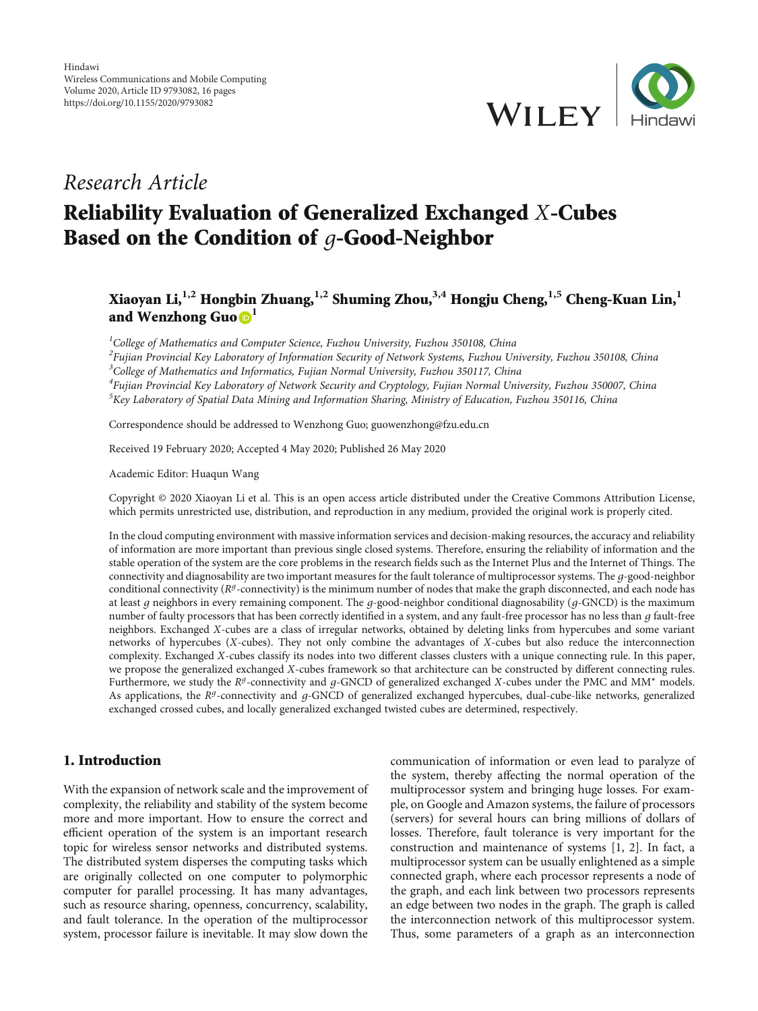

## Research Article

# Reliability Evaluation of Generalized Exchanged *X*-Cubes Based on the Condition of *g*-Good-Neighbor

## Xiaoyan Li,**1,2** Hongbin Zhuang,**1,2** Shuming Zhou,**3,4** Hongju Cheng,**1,5** Cheng-Kuan Lin,**<sup>1</sup>** and Wenzhong Guo **D**<sup>1</sup>

<sup>1</sup>College of Mathematics and Computer Science, Fuzhou University, Fuzhou 350108, China

 $^2$ Fujian Provincial Key Laboratory of Information Security of Network Systems, Fuzhou University, Fuzhou 350108, China

<sup>3</sup>College of Mathematics and Informatics, Fujian Normal University, Fuzhou 350117, China

<sup>4</sup>Fujian Provincial Key Laboratory of Network Security and Cryptology, Fujian Normal University, Fuzhou 350007, China <sup>5</sup>Key Laboratory of Spatial Data Mining and Information Sharing, Ministry of Education, Fuzhou 350116, China

Correspondence should be addressed to Wenzhong Guo; guowenzhong@fzu.edu.cn

Received 19 February 2020; Accepted 4 May 2020; Published 26 May 2020

Academic Editor: Huaqun Wang

Copyright © 2020 Xiaoyan Li et al. This is an open access article distributed under the [Creative Commons Attribution License](https://creativecommons.org/licenses/by/4.0/), which permits unrestricted use, distribution, and reproduction in any medium, provided the original work is properly cited.

In the cloud computing environment with massive information services and decision-making resources, the accuracy and reliability of information are more important than previous single closed systems. Therefore, ensuring the reliability of information and the stable operation of the system are the core problems in the research fields such as the Internet Plus and the Internet of Things. The connectivity and diagnosability are two important measures for the fault tolerance of multiprocessor systems. The *g*-good-neighbor conditional connectivity ( $R^g$ -connectivity) is the minimum number of nodes that make the graph disconnected, and each node has at least *g* neighbors in every remaining component. The *g*-good-neighbor conditional diagnosability (*g*-GNCD) is the maximum number of faulty processors that has been correctly identified in a system, and any fault-free processor has no less than *g* fault-free neighbors. Exchanged *X*-cubes are a class of irregular networks, obtained by deleting links from hypercubes and some variant networks of hypercubes (*X*-cubes). They not only combine the advantages of *X*-cubes but also reduce the interconnection complexity. Exchanged *X*-cubes classify its nodes into two different classes clusters with a unique connecting rule. In this paper, we propose the generalized exchanged *X*-cubes framework so that architecture can be constructed by different connecting rules. Furthermore, we study the *Rg*-connectivity and *g*-GNCD of generalized exchanged *X*-cubes under the PMC and MM<sup>∗</sup> models. As applications, the *Rg*-connectivity and *<sup>g</sup>*-GNCD of generalized exchanged hypercubes, dual-cube-like networks, generalized exchanged crossed cubes, and locally generalized exchanged twisted cubes are determined, respectively.

## 1. Introduction

With the expansion of network scale and the improvement of complexity, the reliability and stability of the system become more and more important. How to ensure the correct and efficient operation of the system is an important research topic for wireless sensor networks and distributed systems. The distributed system disperses the computing tasks which are originally collected on one computer to polymorphic computer for parallel processing. It has many advantages, such as resource sharing, openness, concurrency, scalability, and fault tolerance. In the operation of the multiprocessor system, processor failure is inevitable. It may slow down the

communication of information or even lead to paralyze of the system, thereby affecting the normal operation of the multiprocessor system and bringing huge losses. For example, on Google and Amazon systems, the failure of processors (servers) for several hours can bring millions of dollars of losses. Therefore, fault tolerance is very important for the construction and maintenance of systems [\[1](#page-14-0), [2\]](#page-14-0). In fact, a multiprocessor system can be usually enlightened as a simple connected graph, where each processor represents a node of the graph, and each link between two processors represents an edge between two nodes in the graph. The graph is called the interconnection network of this multiprocessor system. Thus, some parameters of a graph as an interconnection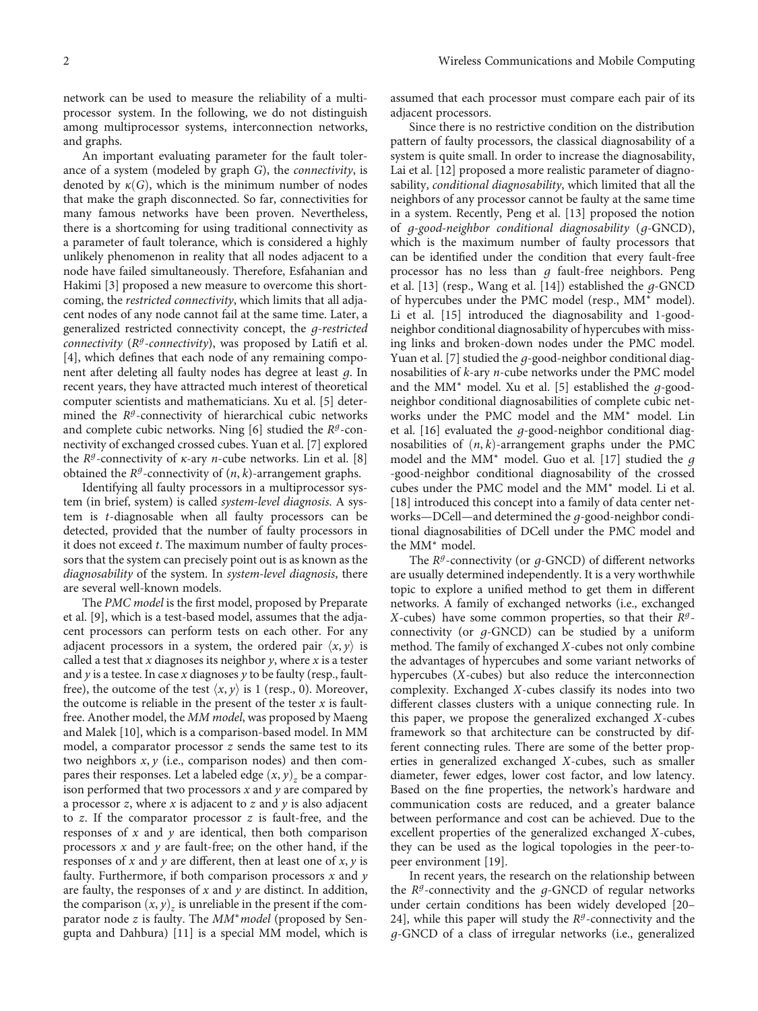network can be used to measure the reliability of a multiprocessor system. In the following, we do not distinguish among multiprocessor systems, interconnection networks, and graphs.

An important evaluating parameter for the fault tolerance of a system (modeled by graph *G*), the connectivity, is denoted by  $\kappa(G)$ , which is the minimum number of nodes that make the graph disconnected. So far, connectivities for many famous networks have been proven. Nevertheless, there is a shortcoming for using traditional connectivity as a parameter of fault tolerance, which is considered a highly unlikely phenomenon in reality that all nodes adjacent to a node have failed simultaneously. Therefore, Esfahanian and Hakimi [\[3\]](#page-14-0) proposed a new measure to overcome this shortcoming, the restricted connectivity, which limits that all adjacent nodes of any node cannot fail at the same time. Later, a generalized restricted connectivity concept, the *g*-restricted connectivity (*R<sup>g</sup>*-connectivity), was proposed by Latifi et al. [\[4](#page-14-0)], which defines that each node of any remaining component after deleting all faulty nodes has degree at least *g*. In recent years, they have attracted much interest of theoretical computer scientists and mathematicians. Xu et al. [\[5\]](#page-14-0) determined the *Rg*-connectivity of hierarchical cubic networks and complete cubic networks. Ning [[6\]](#page-14-0) studied the *R<sup>g</sup>*-connectivity of exchanged crossed cubes. Yuan et al. [\[7\]](#page-14-0) explored the  $R^g$ -connectivity of  $\kappa$ -ary *n*-cube networks. Lin et al. [[8\]](#page-14-0) obtained the  $R<sup>g</sup>$ -connectivity of  $(n, k)$ -arrangement graphs.

Identifying all faulty processors in a multiprocessor system (in brief, system) is called system-level diagnosis. A system is *t*-diagnosable when all faulty processors can be detected, provided that the number of faulty processors in it does not exceed *t*. The maximum number of faulty processors that the system can precisely point out is as known as the diagnosability of the system. In system-level diagnosis, there are several well-known models.

The *PMC model* is the first model, proposed by Preparate et al. [[9\]](#page-14-0), which is a test-based model, assumes that the adjacent processors can perform tests on each other. For any adjacent processors in a system, the ordered pair  $\langle x, y \rangle$  is called a test that  $x$  diagnoses its neighbor  $y$ , where  $x$  is a tester and *y* is a testee. In case *x* diagnoses *y* to be faulty (resp., faultfree), the outcome of the test  $\langle x, y \rangle$  is 1 (resp., 0). Moreover, the outcome is reliable in the present of the tester  $x$  is faultfree. Another model, the *MM model*, was proposed by Maeng and Malek [[10](#page-14-0)], which is a comparison-based model. In MM model, a comparator processor *z* sends the same test to its two neighbors *x*, *y* (i.e., comparison nodes) and then compares their responses. Let a labeled edge  $(x, y)$ <sub>z</sub> be a comparison performed that two processors *x* and *y* are compared by a processor *z*, where *x* is adjacent to *z* and *y* is also adjacent to *z*. If the comparator processor *z* is fault-free, and the responses of *x* and *y* are identical, then both comparison processors *x* and *y* are fault-free; on the other hand, if the responses of *x* and *y* are different, then at least one of *x*, *y* is faulty. Furthermore, if both comparison processors *x* and *y* are faulty, the responses of *x* and *y* are distinct. In addition, the comparison  $(x, y)$ <sub>z</sub> is unreliable in the present if the comparator node *z* is faulty. The *MM<sup>∗</sup> model* (proposed by Sengupta and Dahbura) [\[11\]](#page-14-0) is a special MM model, which is

assumed that each processor must compare each pair of its adjacent processors.

Since there is no restrictive condition on the distribution pattern of faulty processors, the classical diagnosability of a system is quite small. In order to increase the diagnosability, Lai et al. [\[12\]](#page-14-0) proposed a more realistic parameter of diagnosability, conditional diagnosability, which limited that all the neighbors of any processor cannot be faulty at the same time in a system. Recently, Peng et al. [[13](#page-14-0)] proposed the notion of *g*-good-neighbor conditional diagnosability (*g*-GNCD), which is the maximum number of faulty processors that can be identified under the condition that every fault-free processor has no less than *g* fault-free neighbors. Peng et al. [\[13\]](#page-14-0) (resp., Wang et al. [[14](#page-14-0)]) established the *g*-GNCD of hypercubes under the PMC model (resp., MM<sup>∗</sup> model). Li et al. [\[15\]](#page-14-0) introduced the diagnosability and 1-goodneighbor conditional diagnosability of hypercubes with missing links and broken-down nodes under the PMC model. Yuan et al. [\[7\]](#page-14-0) studied the *g*-good-neighbor conditional diagnosabilities of *k*-ary *n*-cube networks under the PMC model and the MM<sup>∗</sup> model. Xu et al. [\[5](#page-14-0)] established the *g*-goodneighbor conditional diagnosabilities of complete cubic networks under the PMC model and the MM<sup>∗</sup> model. Lin et al. [[16](#page-14-0)] evaluated the *g*-good-neighbor conditional diagnosabilities of  $(n, k)$ -arrangement graphs under the PMC model and the MM<sup>∗</sup> model. Guo et al. [\[17\]](#page-14-0) studied the *g* -good-neighbor conditional diagnosability of the crossed cubes under the PMC model and the MM<sup>∗</sup> model. Li et al. [\[18\]](#page-14-0) introduced this concept into a family of data center networks—DCell—and determined the *g*-good-neighbor conditional diagnosabilities of DCell under the PMC model and the MM<sup>∗</sup> model.

The *Rg*-connectivity (or *g*-GNCD) of different networks are usually determined independently. It is a very worthwhile topic to explore a unified method to get them in different networks. A family of exchanged networks (i.e., exchanged *X*-cubes) have some common properties, so that their *Rg*connectivity (or *g*-GNCD) can be studied by a uniform method. The family of exchanged *X*-cubes not only combine the advantages of hypercubes and some variant networks of hypercubes (*X*-cubes) but also reduce the interconnection complexity. Exchanged *X*-cubes classify its nodes into two different classes clusters with a unique connecting rule. In this paper, we propose the generalized exchanged *X*-cubes framework so that architecture can be constructed by different connecting rules. There are some of the better properties in generalized exchanged *X*-cubes, such as smaller diameter, fewer edges, lower cost factor, and low latency. Based on the fine properties, the network's hardware and communication costs are reduced, and a greater balance between performance and cost can be achieved. Due to the excellent properties of the generalized exchanged *X*-cubes, they can be used as the logical topologies in the peer-topeer environment [[19](#page-14-0)].

In recent years, the research on the relationship between the *R<sup>g</sup>*-connectivity and the *<sup>g</sup>*-GNCD of regular networks under certain conditions has been widely developed [\[20](#page-14-0)– [24\]](#page-14-0), while this paper will study the  $R<sup>g</sup>$ -connectivity and the *g*-GNCD of a class of irregular networks (i.e., generalized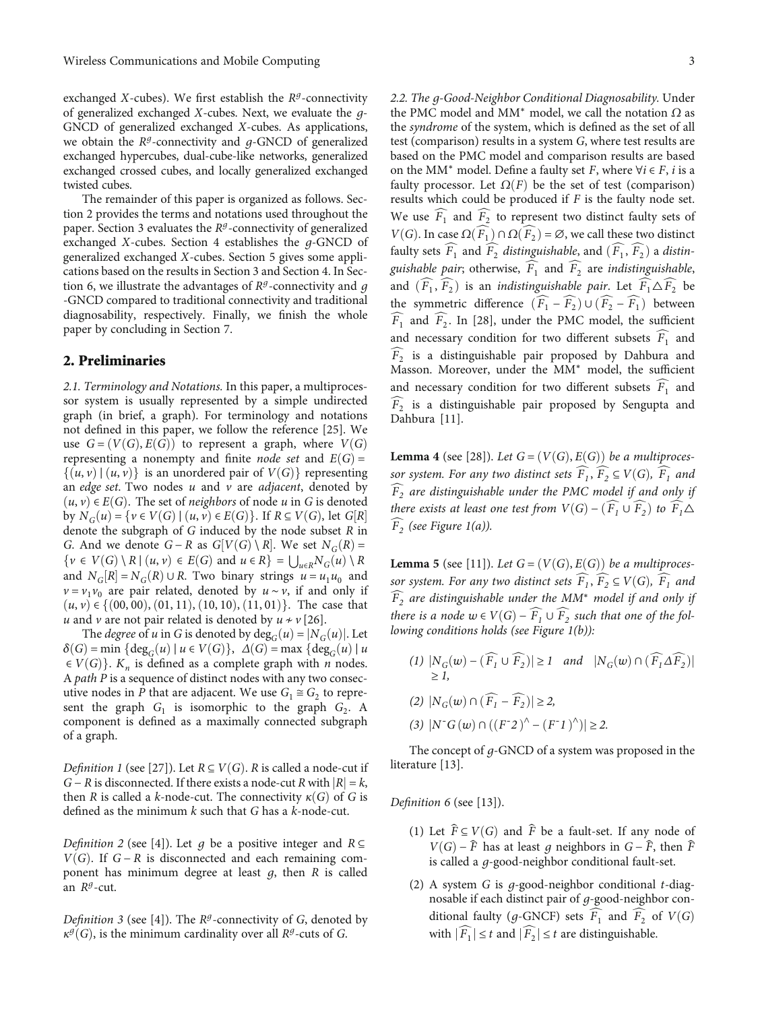<span id="page-2-0"></span>exchanged *X*-cubes). We first establish the  $R<sup>g</sup>$ -connectivity of generalized exchanged *X*-cubes. Next, we evaluate the *g*-GNCD of generalized exchanged *X*-cubes. As applications, we obtain the *<sup>R</sup><sup>g</sup>*-connectivity and *g*-GNCD of generalized exchanged hypercubes, dual-cube-like networks, generalized exchanged crossed cubes, and locally generalized exchanged twisted cubes.

The remainder of this paper is organized as follows. Section 2 provides the terms and notations used throughout the paper. Section [3](#page-4-0) evaluates the *<sup>R</sup><sup>g</sup>*-connectivity of generalized exchanged *X*-cubes. Section [4](#page-6-0) establishes the *g*-GNCD of generalized exchanged *X*-cubes. Section [5](#page-8-0) gives some applications based on the results in Section [3](#page-4-0) and Section [4.](#page-6-0) In Section [6,](#page-12-0) we illustrate the advantages of *<sup>R</sup><sup>g</sup>*-connectivity and *g* -GNCD compared to traditional connectivity and traditional diagnosability, respectively. Finally, we finish the whole paper by concluding in Section [7.](#page-13-0)

## 2. Preliminaries

2.1. Terminology and Notations. In this paper, a multiprocessor system is usually represented by a simple undirected graph (in brief, a graph). For terminology and notations not defined in this paper, we follow the reference [[25](#page-15-0)]. We use  $G = (V(G), E(G))$  to represent a graph, where  $V(G)$ representing a nonempty and finite *node set* and  $E(G)$  =  $\{(u, v) | (u, v)\}\$ is an unordered pair of  $V(G)\}$  representing an edge set. Two nodes *u* and *v* are adjacent, denoted by  $(u, v) ∈ E(G)$ . The set of *neighbors* of node *u* in *G* is denoted by  $N_G(u) = \{v \in V(G) \mid (u, v) \in E(G)\}$ . If  $R \subseteq V(G)$ , let  $G[R]$ <br>denote the subgraph of G induced by the node subset R in denote the subgraph of *G* induced by the node subset *R* in *G*. And we denote *G* − *R* as  $G[V(G) \setminus R]$ . We set  $N_G(R) =$ <br> $\{y \in V(G) \setminus R \mid (y, y) \in E(G) \text{ and } y \in R\} = \{1, N_G(y) \setminus R\}$  $\{v \in V(G) \setminus R \mid (u, v) \in E(G) \text{ and } u \in R\} = \bigcup_{u \in R} N_G(u) \setminus R$ <br>and  $N_G[u] = N_G(P) \cup R$ . Two binary strings  $u = u, u$  and and  $N_G[R] = N_G(R) \cup R$ . Two binary strings  $u = u_1 u_0$  and  $v = v_1 v_1$ , are pair related denoted by  $u \sim v$  if and only if  $v = v_1 v_0$  are pair related, denoted by *u* ∼ *v*, if and only if  $(u, v) \in \{(00, 00), (01, 11), (10, 10), (11, 01)\}$ . The case that *u* and *v* are not pair related is denoted by  $u \neq v$  [\[26\]](#page-15-0).

The *degree* of *u* in *G* is denoted by  $deg_G(u) = |N_G(u)|$ . Let  $\delta(G)$  = min {deg<sub>*G*</sub> $(u)$ </sub> | *u*  $\in V(G)$ },  $\Delta(G)$  = max {deg<sub>*G*</sub> $(u)$  | *u*  $\in V(G)$ . *K<sub>n</sub>* is defined as a complete graph with *n* nodes. <sup>A</sup> path *P* is a sequence of distinct nodes with any two consecutive nodes in *P* that are adjacent. We use  $G_1 \cong G_2$  to represent the graph  $G_1$  is isomorphic to the graph  $G_2$ . A component is defined as a maximally connected subgraph of a graph.

*Definition 1* (see [\[27](#page-15-0)]). Let  $R \subseteq V(G)$ . *R* is called a node-cut if *G* − *R* is disconnected. If there exists a node-cut *R* with  $|R| = k$ , then *R* is called a *k*-node-cut. The connectivity  $\kappa(G)$  of *G* is defined as the minimum *k* such that *G* has a *k*-node-cut.

Definition 2 (see [[4](#page-14-0)]). Let *g* be a positive integer and *R* <sup>⊆</sup> *V*(*G*). If *G* − *R* is disconnected and each remaining component has minimum degree at least *g*, then *R* is called an *<sup>R</sup><sup>g</sup>*-cut.

Definition 3 (see [\[4](#page-14-0)]). The *R<sup>g</sup>*-connectivity of *<sup>G</sup>*, denoted by  $\kappa^{\mathcal{G}}(G)$ , is the minimum cardinality over all  $R^{\mathcal{G}}$ -cuts of *G*.

2.2. The *g*-Good-Neighbor Conditional Diagnosability. Under the PMC model and MM<sup>∗</sup> model, we call the notation *Ω* as the syndrome of the system, which is defined as the set of all test (comparison) results in a system *G*, where test results are based on the PMC model and comparison results are based on the MM<sup>\*</sup> model. Define a faulty set *F*, where  $\forall i \in F$ , *i* is a faulty processor. Let  $\Omega(F)$  be the set of test (comparison) results which could be produced if *F* is the faulty node set. We use  $F_1$  and  $F_2$  to represent two distinct faulty sets of  $V(C)$ . To  $\cos O(\widehat{F}) \circ O(\widehat{F})$ .  $\alpha$  we call these two distinct *V*(*G*). In case  $\Omega(F_1) \cap \Omega(F_2) = \emptyset$ , we call these two distinct faulty sets  $\widehat{F_1}$  and  $\widehat{F_2}$  *distinguishable*, and  $(\widehat{F_1}, \widehat{F_2})$  a *distin*guishable pair; otherwise,  $\widehat{F_1}$  and  $\widehat{F_2}$  are indistinguishable, and  $(\widehat{F_1}, \widehat{F_2})$  is an *indistinguishable pair*. Let  $\widehat{F_1} \triangle \widehat{F_2}$  be the symmetric difference  $(\widehat{F}_1 - \widehat{F}_2) \cup (\widehat{F}_2 - \widehat{F}_1)$  between  $\widehat{F}_1$  and  $\widehat{F}_2$ . In [[28](#page-15-0)], under the PMC model, the sufficient and necessary condition for two different subsets  $\widehat{F}_1$  and  $\widetilde{F}_2$  is a distinguishable pair proposed by Dahbura and Masson. Moreover, under the MM<sup>∗</sup> model, the sufficient and necessary condition for two different subsets  $\widehat{F}_1$  and  $\widehat{F}_2$  is a distinguishable pair proposed by Sengupta and Dahbura [[11](#page-14-0)].

**Lemma 4** (see [\[28\]](#page-15-0)). Let  $G = (V(G), E(G))$  be a multiprocessor system. For any two distinct sets  $\widehat{F}_1$ ,  $\widehat{F}_2 \subseteq V(G)$ ,  $\widehat{F}_1$  and  $\widehat{F}_2$  are distinguishable under the PMC model if and only if there exists at least one test from  $V(G) - (\widehat{F}_1 \cup \widehat{F}_2)$  to  $\widehat{F}_1 \triangle$  $F_2$  (see Figure [1\(a\)](#page-3-0)).

**Lemma 5** (see [\[11\]](#page-14-0)). Let  $G = (V(G), E(G))$  be a multiprocessor system. For any two distinct sets  $\widehat{F}_1$ ,  $\widehat{F}_2 \subseteq V(G)$ ,  $\widehat{F}_1$  and  $\widehat{F}_2$  are distinguishable under the MM<sup>\*</sup> model if and only if there is a node  $w \in V(G) - \widehat{F_1} \cup \widehat{F_2}$  such that one of the following conditions holds (see Figure [1\(b\)](#page-3-0)):

(1)  $|N_G(w) - (F_1 \cup F_2)| \ge 1$  and  $|N_G(w) \cap (F_1 \Delta F_2)|$ <br>> *1* ≥ *1*,  $(2)$   $|N_G(w) \cap (\widehat{F_1} - \widehat{F_2})| \geq 2$  $(|3) |N^{\dagger}G(w) \cap ((F^{\dagger}2)^{\wedge} - (F^{\dagger}1)^{\wedge})| \geq 2.$ 

The concept of *g*-GNCD of a system was proposed in the literature [[13](#page-14-0)].

Definition 6 (see [[13](#page-14-0)]).

- (1) Let  $\widehat{F} \subseteq V(G)$  and  $\widehat{F}$  be a fault-set. If any node of *V*(*G*) −  $\hat{F}$  has at least *q* neighbors in *G* −  $\hat{F}$ , then  $\hat{F}$ is called a *g*-good-neighbor conditional fault-set.
- (2) A system *G* is *g*-good-neighbor conditional *t*-diagnosable if each distinct pair of *g*-good-neighbor conditional faulty (*g*-GNCF) sets  $\overline{F}_1$  and  $\overline{F}_2$  of  $V(G)$ with  $|\widehat{F}_1| \le t$  and  $|\widehat{F}_2| \le t$  are distinguishable.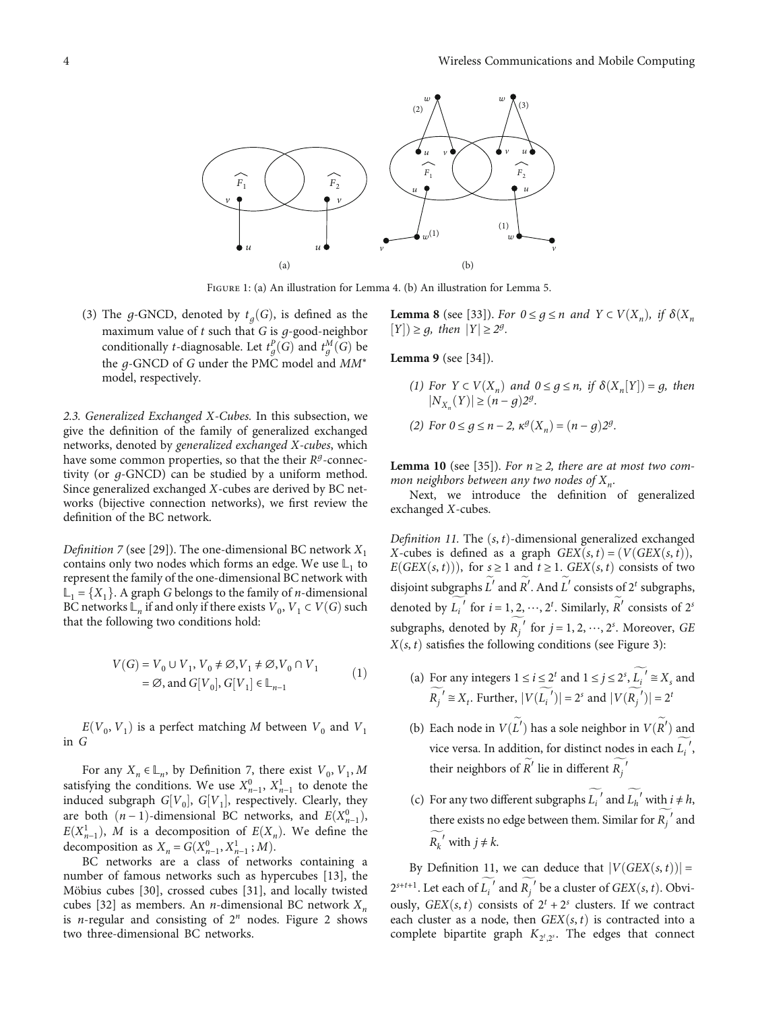<span id="page-3-0"></span>

Figure 1: (a) An illustration for Lemma [4](#page-2-0). (b) An illustration for Lemma [5](#page-2-0).

(3) The *g*-GNCD, denoted by  $t_a(G)$ , is defined as the maximum value of *t* such that *G* is *g*-good-neighbor conditionally *t*-diagnosable. Let  $t_g^B(G)$  and  $t_g^M(G)$  be<br>the g GNGD of G under the DMG model and MM\* the *g*-GNCD of *G* under the PMC model and MM<sup>∗</sup> model, respectively.

2.3. Generalized Exchanged *X*-Cubes. In this subsection, we give the definition of the family of generalized exchanged networks, denoted by generalized exchanged *X*-cubes, which have some common properties, so that the their *R<sup>g</sup>*-connectivity (or *g*-GNCD) can be studied by a uniform method. Since generalized exchanged *X*-cubes are derived by BC networks (bijective connection networks), we first review the definition of the BC network.

*Definition 7* (see [[29\]](#page-15-0)). The one-dimensional BC network  $X_1$ contains only two nodes which forms an edge. We use  $\mathbb{L}_1$  to represent the family of the one-dimensional BC network with  $\mathbb{L}_1 = \{X_1\}$ . A graph *G* belongs to the family of *n*-dimensional BC networks  $\mathbb{L}_n$  if and only if there exists  $V_0$ ,  $V_1 \subset V(G)$  such that the following two conditions hold:

$$
V(G) = V_0 \cup V_1, V_0 \neq \emptyset, V_1 \neq \emptyset, V_0 \cap V_1
$$
  
=  $\emptyset$ , and  $G[V_0], G[V_1] \in \mathbb{L}_{n-1}$  (1)

 $E(V_0, V_1)$  is a perfect matching *M* between  $V_0$  and  $V_1$ in *G*

For any  $X_n \in \mathbb{L}_n$ , by Definition 7, there exist  $V_0$ ,  $V_1$ ,  $M$ satisfying the conditions. We use  $X_{n-1}^0$ ,  $X_{n-1}^1$  to denote the induced subgraph  $G[V]$   $G[V]$  respectively. Clearly, they induced subgraph  $G[V_0]$ ,  $G[V_1]$ , respectively. Clearly, they<br>are both  $(n-1)$ -dimensional BC networks, and  $F(Y^0)$ are both  $(n-1)$ -dimensional BC networks, and  $E(X_{n-1}^0)$ ,<br> $E(Y^1)$  *M* is a decomposition of  $E(Y)$  *Me* define the  $E(X_{n-1}^1)$ , *M* is a decomposition of  $E(X_n)$ . We define the decomposition as  $X_n = G(X_{n-1}^0, X_{n-1}^1; M)$ .<br> *RC* networks are a class of netwo

BC networks are a class of networks containing a number of famous networks such as hypercubes [\[13\]](#page-14-0), the Möbius cubes [[30](#page-15-0)], crossed cubes [\[31\]](#page-15-0), and locally twisted cubes [\[32\]](#page-15-0) as members. An *n*-dimensional BC network  $X_n$ is *n*-regular and consisting of <sup>2</sup>*<sup>n</sup>* nodes. Figure [2](#page-4-0) shows two three-dimensional BC networks.

**Lemma 8** (see [[33](#page-15-0)]). For  $0 \leq g \leq n$  and  $Y \subset V(X_n)$ , if  $\delta(X_n)$  $[Y] \geq g$ , then  $|Y| \geq 2^g$ .

**Lemma 9** (see [[34\]](#page-15-0)).

(1) For  $Y \subset V(X_n)$  and  $0 \le g \le n$ , if  $\delta(X_n[Y]) = g$ , then  $|N_{\infty}(Y)| > (n - a)\frac{2g}{\sigma^2}$ *jN<sub>X<sub>n</sub>*</sub>(*Y*) $\geq (n - g)2^g$ . (2) For  $0 \le g \le n - 2$ ,  $\kappa^g(X_n) = (n - g)2^g$ .

**Lemma 10** (see [\[35\]](#page-15-0)). For  $n \ge 2$ , there are at most two common neighbors between any two nodes of X<sub>n</sub>.

Next, we introduce the definition of generalized exchanged *X*-cubes.

Definition 11. The  $(s, t)$ -dimensional generalized exchanged *X*-cubes is defined as a graph  $GEX(s, t) = (V(GEX(s, t)),$ *E*(*GEX* $(s, t)$ )), for  $s \ge 1$  and  $t \ge 1$ . *GEX* $(s, t)$  consists of two disjoint subgraphs  $L'$  and  $R'$ . And  $L'$  consists of  $2^t$  subgraphs, denoted by  $L_i'$  for  $i = 1, 2, \dots, 2^t$ . Similarly,  $R'$  consists of  $2^s$ subgraphs, denoted by  $R_j'$  for  $j = 1, 2, \dots, 2^s$ . Moreover, *GE*<br> $Y(s, t)$  existes the following conditions (can Figure 2).  $X(s, t)$  satisfies the following conditions (see Figure [3\)](#page-4-0):

- (a) For any integers  $1 \le i \le 2^t$  and  $1 \le j \le 2^s$ ,  $L_i' \cong X_s$  and  $R_j' \cong X_t$ . Further,  $|V(L_i')| = 2^s$  and  $|V(R_j')| = 2^t$
- (b) Each node in  $V(L')$  has a sole neighbor in  $V(R')$  and vice versa. In addition, for distinct nodes in each  $L_i'$ , their neighbors of  $R'$  lie in different  $R_j'$

*j*

(c) For any two different subgraphs  $L_i'$  and  $L_h'$  with  $i \neq h$ , there exists no edge between them. Similar for  $R_j^{\prime}$  and *j*  $R_k^{\prime}$  with  $j \neq k$ .

By Definition 11, we can deduce that  $|V(GEX(s, t))|$  =  $2^{s+t+1}$ . Let each of  $L_i'$  and  $R_j'$  be a cluster of *GEX* $(s, t)$ . Obvi-<br>over  $GEX(s, t)$  consists of  $2^t + 2^s$  clusters. If we contract ously, *GEX* $(s, t)$  consists of  $2^t + 2^s$  clusters. If we contracted into a seach cluster as a node, then *GEX* $(s, t)$  is contracted into a each cluster as a node, then  $GEX(s, t)$  is contracted into a complete bipartite graph  $K_{2^t,2^s}$ . The edges that connect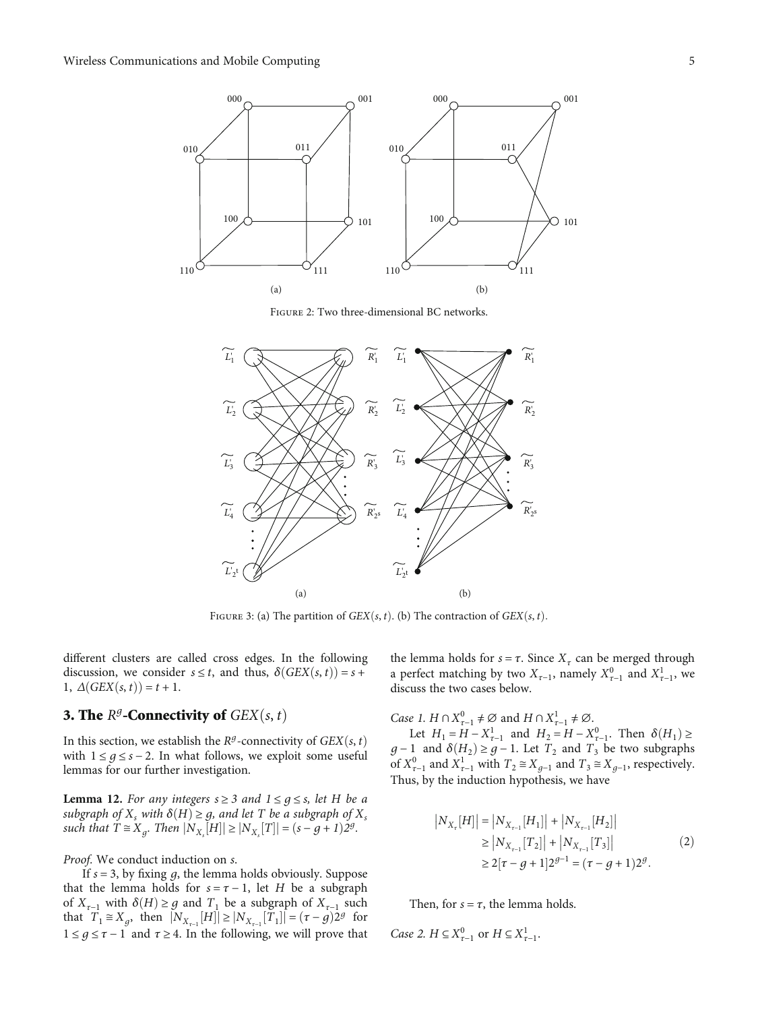<span id="page-4-0"></span>

Figure 2: Two three-dimensional BC networks.



FIGURE 3: (a) The partition of *GEX* $(s, t)$ . (b) The contraction of *GEX* $(s, t)$ .

different clusters are called cross edges. In the following discussion, we consider  $s \leq t$ , and thus,  $\delta(GEX(s, t)) = s +$ 1,  $\Delta(GEX(s, t)) = t + 1$ .

## **3. The**  $R^g$ **-Connectivity of**  $GEX(s, t)$

In this section, we establish the  $R<sup>g</sup>$ -connectivity of *GEX*(*s*, *t*) with  $1 \leq g \leq s - 2$ . In what follows, we exploit some useful lemmas for our further investigation.

**Lemma 12.** For any integers  $s \geq 3$  and  $1 \leq g \leq s$ , let *H* be a subgraph of  $X_s$  with  $\delta(H) \geq g$ , and let *T* be a subgraph of  $X_s$  $|N_{X_s}[H]| \geq |N_{X_s}[T]| = (s - g + 1)2^g$ .

Proof. We conduct induction on *s*.

If *s* = 3, by fixing *g*, the lemma holds obviously. Suppose that the lemma holds for  $s = \tau - 1$ , let *H* be a subgraph of  $X_{\tau-1}$  with  $\delta(H) \geq g$  and  $T_1$  be a subgraph of  $X_{\tau-1}$  such that  $T_1 \cong X_g$ , then  $|N_{X_{r-1}}[H]| \ge |N_{X_{r-1}}[T_1]| = (\tau - g)2^g$  for  $1 \leq g \leq \tau - 1$  and  $\tau \geq 4$ . In the following, we will prove that

the lemma holds for  $s = \tau$ . Since  $X_{\tau}$  can be merged through a perfect matching by two  $X_{\tau-1}$ , namely  $X_{\tau-1}^0$  and  $X_{\tau-1}^1$ , we discuss the two cases below discuss the two cases below.

Case 1.  $H \cap X_{\tau-1}^0 \neq \emptyset$  and  $H \cap X_{\tau-1}^1 \neq \emptyset$ .<br>
Let  $H = H - X^1$  and  $H = H - X$ 

Let  $H_1 = H - X_{\tau-1}^1$  and  $H_2 = H - X_{\tau-1}^0$ . Then  $\delta(H_1) \ge$ <br>1 and  $\delta(H_1) \ge a-1$ . Let T and T be two subgraphs *g* − 1 and  $\delta(H_2) \geq g$  − 1. Let  $T_2$  and  $T_3$  be two subgraphs of  $X^0$  and  $X^1$  with  $T \cong X$  and  $T \cong X$  respectively of  $X_{\tau-1}^0$  and  $X_{\tau-1}^1$  with  $T_2 \cong X_{g-1}$  and  $T_3 \cong X_{g-1}$ , respectively. Thus, by the induction hypothesis, we have

$$
|N_{X_{\tau}}[H]| = |N_{X_{\tau-1}}[H_1]| + |N_{X_{\tau-1}}[H_2]|
$$
  
\n
$$
\ge |N_{X_{\tau-1}}[T_2]| + |N_{X_{\tau-1}}[T_3]|
$$
  
\n
$$
\ge 2[\tau - g + 1]2^{g-1} = (\tau - g + 1)2^g.
$$
 (2)

Then, for  $s = \tau$ , the lemma holds.

*Case 2. H*  $\subseteq X_{\tau-1}^0$  or *H*  $\subseteq X_{\tau-1}^1$ .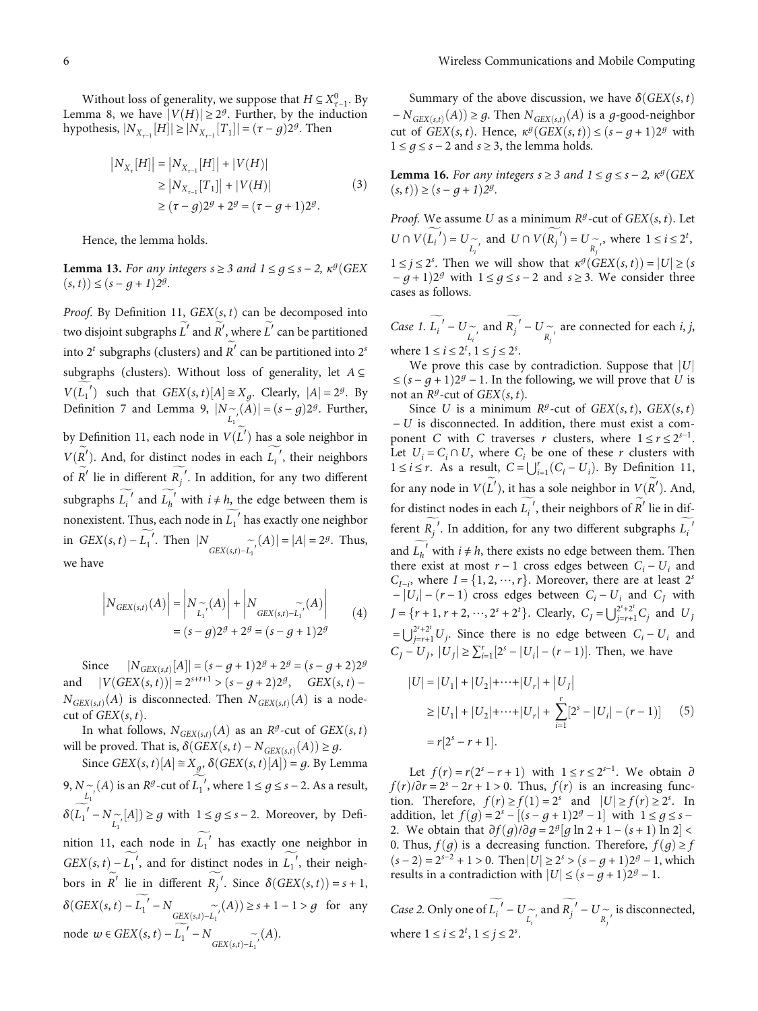<span id="page-5-0"></span>Without loss of generality, we suppose that  $H \subseteq X_{\tau-1}^0$ . By  $\lim_{\tau \to \infty} 8$ , we have  $|V(H)| > 2^g$ . Further, by the induction Lemma [8,](#page-3-0) we have  $|V(H)| \geq 2<sup>g</sup>$ . Further, by the induction  $\int$  hypothesis,  $|N_{X_{\tau-1}}[H]| \ge |N_{X_{\tau-1}}[T_1]| = (\tau - g)2^g$ . Then

$$
|N_{X_{\tau}}[H]| = |N_{X_{\tau-1}}[H]| + |V(H)|
$$
  
\n
$$
\ge |N_{X_{\tau-1}}[T_1]| + |V(H)|
$$
  
\n
$$
\ge (\tau - g)2^g + 2^g = (\tau - g + 1)2^g.
$$
\n(3)

Hence, the lemma holds.

**Lemma 13.** For any integers  $s \geq 3$  and  $1 \leq q \leq s - 2$ ,  $\kappa^g$  (GEX  $(s, t)$  $\leq (s - q + 1)2^g$ .

Proof. By Definition [11,](#page-3-0)  $GEX(s, t)$  can be decomposed into two disjoint subgraphs  $L'$  and  $R'$ , where  $L'$  can be partitioned into  $2^t$  subgraphs (clusters) and  $R'$  can be partitioned into  $2^s$ subgraphs (clusters). Without loss of generality, let *A* <sup>⊆</sup> Definition [7](#page-3-0) and Lemma [9](#page-3-0),  $|N_{\begin{subarray}{l}r\\l_1\end{subarray}}(A)| = (s-g)2^g$ . Further,  $L_1'$  such that  $GEX(s, t)[A] \cong X_g$ . Clearly,  $|A| = 2^g$ . By by Definition [11,](#page-3-0) each node in  $V(L')$  has a sole neighbor in  $V(R')$ . And, for distinct nodes in each  $L_i'$ , their neighbors of  $R'$  lie in different  $R_j'$ . In addition, for any two different subgraphs  $\widetilde{L_i}$ <sup>*i*</sup> and  $\widetilde{L_h}$ <sup>*i*</sup> with *i* ≠ *h*, the edge between them is nonexistent. Thus, each node in  $L_1'$  has exactly one neighbor in *GEX* $(s, t) - L_1'$ . Then  $|N_{GEX(s,t) - L_1'}(A)| = |A| = 2<sup>g</sup>$ . Thus, we have

$$
\left| N_{GEX(s,t)}(A) \right| = \left| N_{\widetilde{L_1'}}(A) \right| + \left| N_{GEX(s,t) - \widetilde{L_1'}}(A) \right|
$$
  
=  $(s - g)2^g + 2^g = (s - g + 1)2^g$  (4)

 $\text{Since} \quad |N_{GEX(s,t)}[A]$  $|N_{GEX(s,t)}[A]| = (s-g+1)2^{g} + 2^{g} = (s-g+2)2^{g}$ and  $|V(GEX(s, t))| = 2^{s+t+1} > (s - g + 2)2^g$ , *GEX* $(s, t) N_{GEX(s,t)}(A)$  is disconnected. Then  $N_{GEX(s,t)}(A)$  is a nodecut of  $GEX(s, t)$ .

In what follows,  $N_{GEX(s,t)}(A)$  as an  $R^g$ -cut of  $GEX(s,t)$ will be proved. That is,  $\delta(GEX(s, t) - N_{GEX(s, t)}(A)) \geq g$ .

Since  $GEX(s, t)[A] \cong X_g$ ,  $\delta(GEX(s, t)[A]) = g$ . By Lemma [9,](#page-3-0) *N* ∼ (*A*) is an *R<sup>g</sup>*-cut of *L*<sub>1</sub>′, where 1 ≤ *g* ≤ *s* − 2. As a result,  $\delta(L_1' - N_{L_1'}[A]) \ge g$  with  $1 \le g \le s - 2$ . Moreover, by Defi-nition [11](#page-3-0), each node in  $L_1'$  has exactly one neighbor in  $GEX(s, t) - L_1'$ , and for distinct nodes in  $L_1'$ , their neighbors in  $R'$  lie in different  $R_j'$ . Since  $\delta(GEX(s, t)) = s + 1$ , *δ*(*GEX*(*s*, *t*) −  $L_1'$  − *N*<sub>*GEX*(*s,t*)− $L_1'$ </sub> (*A*)) ≥ *s* + 1 − 1 > *g* for any node *w* ∈ *GEX*(*s*, *t*) − *L*<sub>1</sub><sup> $'$ </sup> − *N*<sub>*GEX*(*s*,*t*)−*L*<sub>1</sub><sup> $'$ </sup>(*A*).</sub>

Summary of the above discussion, we have  $\delta(GEX(s, t))$  $-N_{GEX(s,t)}(A)) \geq g$ . Then  $N_{GEX(s,t)}(A)$  is a *g*-good-neighbor cut of *GEX* $(s, t)$ . Hence,  $\kappa^g(GEX(s, t)) \leq (s - g + 1)2^g$  with 1 ≤  $q$  ≤  $s$  − 2 and  $s$  ≥ 3, the lemma holds.

**Lemma 16.** For any integers  $s \geq 3$  and  $1 \leq g \leq s - 2$ ,  $\kappa^g$  (GEX  $(s, t)$  $\geq$   $(s - g + 1)2^g$ .

*Proof.* We assume *U* as a minimum  $R^g$ -cut of  $GEX(s, t)$ . Let *U* ∩ *V*( $L_i'$ ) = *U*  $\sim$  *n*<sub>*R*</sub> and *U* ∩ *V*( $R_j'$ ) = *U*  $\sim$  *n<sub>j</sub>*, where 1 ≤ *i* ≤ 2<sup>*t*</sup>,  $1 \le j \le 2^s$ . Then we will show that  $\kappa^g(GEX(s,t)) = |U| \ge (s - a + 1)2^g$  with  $1 \le a \le s - 2$  and  $s > 3$ . We consider three  $-g+1$ )2<sup>*g*</sup> with  $1 \le g \le s-2$  and  $s \ge 3$ . We consider three cases as follows.

Case 1.  $L_i' - U \underset{L_i'}{\sim}$  and  $R_j' - U \underset{R_j'}{\sim}$  are connected for each *i*, *j*, where  $1 \le i \le 2^t, 1 \le j \le 2^s$ .<br>We prove this case b

We prove this case by contradiction. Suppose that |*U*|  $≤$  (s − *g* + 1)2<sup>*g*</sup> − 1. In the following, we will prove that *U* is not an  $R^g$ -cut of  $GEX(s, t)$ .

Since *U* is a minimum  $R^g$ -cut of *GEX* $(s, t)$ , *GEX* $(s, t)$ <sup>−</sup> *U* is disconnected. In addition, there must exist a component *C* with *C* traverses *r* clusters, where  $1 \le r \le 2^{s-1}$ . Let  $U_i = C_i \cap U$ , where  $C_i$  be one of these *r* clusters with 1 ≤ *i* ≤ *r*. As a result,  $C = \bigcup_{i=1}^{r} (C_i - U_i)$ . By Definition [11,](#page-3-0) for any node in  $V(L')$ , it has a sole neighbor in  $V(R')$ . And, for distinct nodes in each  $L_i'$ , their neighbors of  $R'$  lie in different  $R_j'$ . In addition, for any two different subgraphs  $L_i'$ and  $\widetilde{L_h}$ <sup>*f*</sup> with *i* ≠ *h*, there exists no edge between them. Then there exist at most  $r - 1$  cross edges between  $C - U$ , and there exist at most  $r - 1$  cross edges between  $C_i - U_i$  and  $C_{I-i}$ , where  $I = \{1, 2, \dots, r\}$ , Moreover, there are at reast 2<br>  $\begin{bmatrix} -|U_i| - (r-1) \end{bmatrix}$  cross edges between  $C_i - U_i$  and  $C_J$  with  $C_{I-i}$ , where  $I = \{1, 2, \dots, r\}$ . Moreover, there are at least  $2^s$  $J = \{r+1, r+2, \dots, 2^s + 2^t\}$ . Clearly,  $C_J = \bigcup_{j=r+1}^{2^s+2^t} C_j$  and  $U_J$  $= \bigcup_{j=r+1}^{2^{s}+2^{t}} U_{j}$ . Since there is no edge between  $C_{i} - U_{i}$  and *j*=*r*+1*Uj C<sub>J</sub>* − *U<sub>J</sub>*,  $|U_j|$  ≥  $\sum_{i=1}^{r} [2^s - |U_i| - (r - 1)]$ . Then, we have

$$
|U| = |U_1| + |U_2| + \cdots + |U_r| + |U_J|
$$
  
\n
$$
\geq |U_1| + |U_2| + \cdots + |U_r| + \sum_{i=1}^r [2^s - |U_i| - (r - 1)] \quad (5)
$$
  
\n
$$
= r[2^s - r + 1].
$$

Let  $f(r) = r(2^s - r + 1)$  with  $1 \le r \le 2^{s-1}$ . We obtain ∂  $f(r)/\partial r = 2^s - 2r + 1 > 0$ . Thus,  $f(r)$  is an increasing function. Therefore,  $f(r) \ge f(1) = 2^s$  and  $|U| \ge f(r) \ge 2^s$ . In addition let  $f(a) = 2^s - [(s - a + 1)2^s - 1]$  with  $1 \le a \le s - 1$ addition, let *f*(*g*) = 2<sup>*s*</sup> − [(*s* − *g* + 1)2<sup>*g*</sup> − 1] with 1 ≤ *g* ≤ *s* − 2. We obtain that  $\frac{\partial f(a)}{\partial a} = 2^g [a \ln 2 + 1 - (s + 1) \ln 2] <$ 2. We obtain that  $\partial f(g)/\partial g = 2^g[g \ln 2 + 1 - (s+1) \ln 2] < 0$ . Thus  $f(g)$  is a decreasing function. Therefore,  $f(g) > t$ 0. Thus,  $f(g)$  is a decreasing function. Therefore,  $f(g) \ge f$  $(s − 2) = 2<sup>s-2</sup> + 1 > 0$ . Then  $|U| \ge 2<sup>s</sup> > (s - g + 1)2<sup>g</sup> - 1$ , which results in a contradiction with  $|U| \le (s - g + 1)2^g - 1$ .

Case 2. Only one of  $L_i' - U \underset{L_i'}{\sim}$  and  $R_j' - U \underset{R_j'}{\sim}$ is disconnected, where  $1 \le i \le 2^t, 1 \le j \le 2^s$ .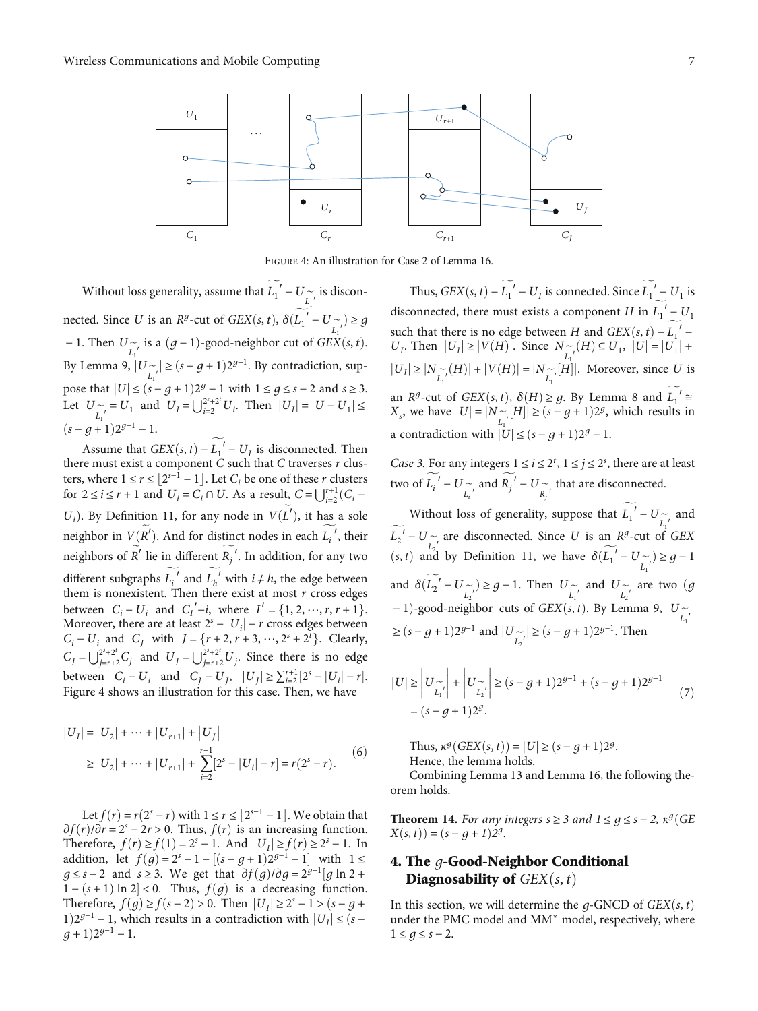<span id="page-6-0"></span>

Figure 4: An illustration for Case [2](#page-4-0) of Lemma [16.](#page-5-0)

Without loss generality, assume that  $L_1' - U \sim L_1'$  is discon-<br> $L_1'$ nected. Since *U* is an *R<sup>g</sup>*-cut of *GEX*(*s*, *t*),  $\delta(L_1' - U_{\sub{l_1'}}') \ge g$ <br>**1** Then *II* is a (*s* − 1) good poighbon ant of *GEV*(*s* +) − 1. Then  $U \sim \text{is a } (g-1)$ -good-neighbor cut of *GEX* $(s, t)$ . By Lemma [9](#page-3-0),  $|U_{\substack{L_1 \\ L_1}}}$  ≥  $(s - g + 1)2^{g-1}$ . By contradiction, sup-<br>ness that  $|U| \le (s - g + 1)2^g$ . Lyith 1 ≤ 2 ≤ 2, 2 and 2 ≥ 2. pose that  $|U| \le (s - g + 1)2^g - 1$  with  $1 \le g \le s - 2$  and  $s \ge 3$ . Let  $U \sim I_1$  and  $U_I = \bigcup_{i=2}^{2^s+2^t} U_i$ . Then  $|U_I| = |U - U_1| \le$  $(s - q + 1)2^{g-1} - 1.$ 

Assume that  $GEX(s, t) - L_1' - U_I$  is disconnected. Then<br>re must exist a component C such that C traverses r clusthere must exist a component *C* such that *C* traverses *r* clus-<br>ters, where  $1 \le r \le |2^{s-1} - 1|$ . Let *C*, be one of these *r* clusters ters, where  $1 \le r \le \lfloor 2^{s-1} - 1 \rfloor$ . Let  $C_i$  be one of these *r* clusters for  $2 \le i \le r+1$  and  $U = C_1 \cap U$ . As a result  $C = |V^{+1}(C)|$ for  $2 \le i \le r + 1$  and  $U_i = C_i \cap U$ . As a result,  $C = \bigcup_{i=2}^{r+1} (C_i - C_i)$  $\frac{1}{\sqrt{2}}$ ). By Definition [11,](#page-3-0) for any node in  $V(L')$ , it has a sole neighbor in *V*(*R'*). And for distinct nodes in each  $L_i'$ , their neighbors of  $R'$  lie in different  $R_j'$ . In addition, for any two different subgraphs  $\widetilde{L_i}$ <sup>*i*</sup> and  $\widetilde{L_h}$ <sup>*i*</sup> with  $i \neq h$ , the edge between them is nonexistent. Then there exist at most *r* cross edges them is nonexistent. Then there exist at most *r* cross edges<br>between  $C = U$  and  $C'$  is where  $U = \{1, 2, \dots, x + 1\}$ between  $C_i - U_i$  and  $C'_i - i$ , where  $I' = \{1, 2, \dots, r, r + 1\}$ .<br>Moreover there are at least  $2^s - |II_i| - r$  cross edges between Moreover, there are at least  $2^s - |U_i| - r$  cross edges between<br>C – *U*<sub>c</sub> and C<sub>c</sub> with  $I = \{r+2, r+3, \dots, 2^s + 2^t\}$  Clearly  $C_i - U_i$  and  $C_j$  with  $J = \{r+2, r+3, \dots, 2^s + 2^t\}$ . Clearly,  $C_j = \bigcup_{j=r+2}^{2^s+2^t} C_j$  and  $U_j = \bigcup_{j=r+2}^{2^s+2^t} U_j$ . Since there is no edge between  $C_i - U_i$  and  $C_j - U_j$ ,  $|U_j| \ge \sum_{i=2}^{r+1} [2^s - |U_i| - r]$ .<br>Figure 4 shows an illustration for this case Then we have Figure 4 shows an illustration for this case. Then, we have

$$
|U_I| = |U_2| + \dots + |U_{r+1}| + |U_J|
$$
  
\n
$$
\geq |U_2| + \dots + |U_{r+1}| + \sum_{i=2}^{r+1} [2^s - |U_i| - r] = r(2^s - r).
$$
 (6)

Let *f*(*r*) = *r*(2<sup>*s*</sup> − *r*) with 1 ≤ *r* ≤ |2<sup>*s*−1</sup> − 1 |. We obtain that  $\partial f(r)/\partial r = 2^s - 2r > 0$ . Thus,  $f(r)$  is an increasing function. Therefore,  $f(r) \ge f(1) = 2^s - 1$ . And  $|U_I| \ge f(r) \ge 2^s - 1$ . In addition, let *f*(*g*) =  $2^{s} - 1 - [(s - g + 1)2^{g-1} - 1]$  with 1 ≤ *g* ≤ *s* − 2 and *s* ≥ 3. We get that  $\partial f(g)/\partial g = 2^{g-1}[g \ln 2 +$  $1 - (s + 1) \ln 2 < 0$ . Thus,  $f(g)$  is a decreasing function.<br>Therefore  $f(g) > f(s-2) > 0$ . Then  $|U| > 2^s - 1 > (s - 2 + 1)$ Therefore, *f*(*g*) ≥ *f*(*s* − 2) > 0. Then  $|U_I|$  ≥ 2<sup>*s*</sup> − 1 > (*s* − *g* + 1)2<sup>*g*−1</sup> − 1, which results in a contradiction with  $|U_I|$  ≤ (*s* −  $(g+1)2^{g-1} - 1.$ 

Thus,  $GEX(s, t) - L_1' - U_I$  is connected. Since  $L_1' - U_1$  is disconnected, there must exists a component *H* in  $L_1' - U_1$ such that there is no edge between *H* and  $GEX(s, t) - L$ <br>*U*. Then  $|U| > |V(H)|$  Since  $N \sim (H) \subset U$ .  $|U| = |U|$ such that there is no edge between H and  $GEX(s, t) - \widetilde{L_1}'$  – *U<sub>I</sub>*. Then  $|U_I| \ge |V(H)|$ . Since  $N \sim (H) \subseteq U_1$ ,  $|U| = |U_1| +$ <br>*HI*<sub>J</sub> S |M<sub>L</sub> (*U*)] + *W*(*U*)] = M<sub>L</sub> [*U*<sup>1</sup>] Maragayar since *H* is  $|U_I| \ge |N_{L_I}^{\frown}(H)| + |V(H)| = |N_{L_I^{\frown}}[H]|$ . Moreover, since *U* is an *R*<sup>*g*</sup>-cut of *GEX*(*s, t*),  $\delta(H) \geq g$ . By Lemma [8](#page-3-0) and  $L_1' \cong$ <br>*X* we have  $|II| - |N \sim |H|$  > (*s* – *a* + 1)2*g* which results in *X<sub>s</sub>*, we have  $|U| = |N_{\substack{L_1 \\ L_1}}} [H]| \ge (s - g + 1)2^g$ , which results in a contradiction with  $|U| \le (s - g + 1)2^g - 1$ .

Case 3. For any integers  $1 \le i \le 2^t$ ,  $1 \le j \le 2^s$ , there are at least two of  $L_i' - U_{\widetilde{L_i'}}$  and  $R_j' - U_{\widetilde{R_j'}}$ that are disconnected.

Without loss of generality, suppose that  $L_1' - U_{\sim}$  and<br>*L*<sub>1</sub>′ and *L*<sub>1</sub>′ and *L*<sub>1</sub>′ and *L*<sub>1</sub>′ and *L*<sub>1</sub>′ and *L*<sub>1</sub>′ and *L*<sub>1</sub><sup>*s*</sup> CEV  $L_2' - U \sim L_2'$  are disconnected. Since *U* is an *Rg*-cut of *GEX*<br>(s, t) and by Definition 11, we have  $\delta(\overline{I})' - I I \sim 0$ (*s, t*) and by Definition [11](#page-3-0), we have  $\delta(L_1' - U_{\begin{bmatrix}n'\\ L_1'\end{bmatrix}} \geq g - 1$ and  $\delta(L_2^{\prime} - U_{\begin{array}{c} \sim \\ \sim \end{array}}) \geq g - 1$ . Then  $U_{\begin{array}{c} \sim \\ \sim \\ L_1^{\prime \prime} \end{array}}$  and  $U_{\begin{array}{c} \sim \\ \sim \\ L_2^{\prime \prime} \end{array}}$  are two  $(g$ − 1)-good-neighbor cuts of *GEX*(*s*, *t*). By Lemma [9,](#page-3-0)  $|U_{\begin{bmatrix}r\\ L_1\end{bmatrix}}|$ ≥  $(s - g + 1)2^{g-1}$  and  $|U_{L_2'}^{-}|$  ≥  $(s - g + 1)2^{g-1}$ . Then

$$
|U| \ge |U_{\widetilde{L_1}}| + |U_{\widetilde{L_2}}| \ge (s - g + 1)2^{g-1} + (s - g + 1)2^{g-1}
$$
  
=  $(s - g + 1)2^g$ . (7)

Thus,  $\kappa^g(GEX(s,t)) = |U| \geq (s - q + 1)2^g$ .

Hence, the lemma holds.

Combining Lemma [13](#page-5-0) and Lemma [16](#page-5-0), the following theorem holds.

**Theorem 14.** For any integers  $s \geq 3$  and  $1 \leq g \leq s - 2$ ,  $\kappa^g$  *GE*  $X(s,t) = (s - g + 1)2^g$ .

## 4. The *g*-Good-Neighbor Conditional **Diagnosability of**  $GEX(s, t)$

In this section, we will determine the  $q$ -GNCD of  $GEX(s, t)$ under the PMC model and MM<sup>∗</sup> model, respectively, where  $1 ≤ g ≤ s - 2.$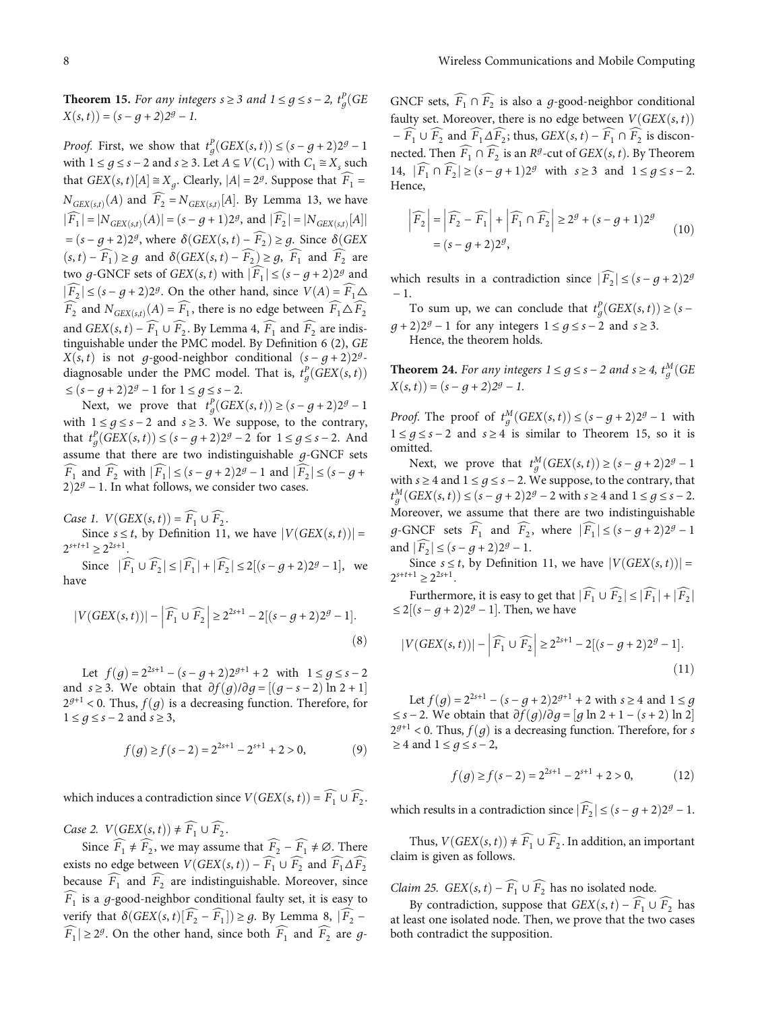<span id="page-7-0"></span>**Theorem 15.** For any integers  $s \geq 3$  and  $1 \leq g \leq s - 2$ ,  $t_g^P(GE)$ <br> $V(s, t) = (s - s + 2)^{2g}$  $X(s, t) = (s - g + 2)2^g - 1$ .

Proof. First, we show that  $t_g^P(GEX(s,t)) \le (s-g+2)2^g-1$ with  $1 \le g \le s - 2$  and  $s \ge 3$ . Let  $A \subseteq V(C_1)$  with  $C_1 \cong X_s$  such that *GEX* $(s, t)[A] \cong X_g$ . Clearly,  $|A| = 2^g$ . Suppose that  $F_1 =$  $N_{GEX(s,t)}(A)$  and  $F_2 = N_{GEX(s,t)}[A]$ . By Lemma [13](#page-5-0), we have  $|\widehat{F}_1| = |N_{GEX(s,t)}(A)| = (s - g + 1)2^g$ , and  $|\widehat{F}_2| = |N_{GEX(s,t)}[A]|$ j  $=(s-g+2)2^g$ , where  $\delta(GEX(s,t) - F_2) \geq g$ . Since  $\delta(GEX(s,t) - \widehat{F_1}) \geq g$ . Since  $\delta(GEX(s,t) - \widehat{F_2}) \geq g$ .  $(s, t)$  −  $\widehat{F}_1$ ) ≥ *g* and  $\delta(GEX(s, t) - \widehat{F}_2)$  ≥ *g*,  $\widehat{F}_1$  and  $\widehat{F}_2$  are two *g*-GNCF sets of *GEX*(*s*, *t*) with  $|\widehat{F}_1| \le (s - g + 2)2^g$  and  $|\widehat{F}_2|$  ≤  $(s - g + 2)2^g$ . On the other hand, since  $V(A) = \widehat{F}_1 \triangle$  $\widehat{F}_2$  and  $N_{GEX(s,t)}(A) = \widehat{F}_1$ , there is no edge between  $\widehat{F}_1 \Delta \widehat{F}_2$ and *GEX* $(s, t)$  –  $\widehat{F_1} \cup \widehat{F_2}$ . By Lemma [4](#page-2-0),  $\widehat{F_1}$  and  $\widehat{F_2}$  are indistinguishable under the PMC model. By Definition [6](#page-2-0) (2), *GE X* $(s, t)$  is not *g*-good-neighbor conditional  $(s - g + 2)2^g$ diagnosable under the PMC model. That is,  $t_g^p(GEX(s, t))$  $\leq (s - g + 2)2^g - 1$  for  $1 \leq g \leq s - 2$ .

Next, we prove that  $t_g^p(GEX(s,t)) \ge (s-g+2)2^g-1$ with  $1 \le g \le s - 2$  and  $s \ge 3$ . We suppose, to the contrary, that  $t_g^p(GEX(s, t)) \le (s - g + 2)2^g - 2$  for  $1 \le g \le s - 2$ . And assume that there are two indistinguishable *g*-GNCF sets  $\widehat{F_1}$  and  $\widehat{F_2}$  with  $|\widehat{F_1}| \leq (s - g + 2)2^g - 1$  and  $|\widehat{F_2}| \leq (s - g + 1)$  $2)2<sup>g</sup> - 1$ . In what follows, we consider two cases.

*Case 1.*  $V(GEX(s,t)) = \widehat{F_1} \cup \widehat{F_2}$ .

Since  $s \leq t$ , by Definition [11,](#page-3-0) we have  $|V(GEX(s, t))|$  =  $2^{s+t+1} \geq 2^{2s+1}$ .

Since  $|F_1 \cup F_2| \le |F_1| + |F_2| \le 2[(s - g + 2)2^g - 1]$ , we have

$$
|V(GEX(s,t))| - \left| \widehat{F_1} \cup \widehat{F_2} \right| \ge 2^{2s+1} - 2[(s-g+2)2^g - 1].
$$
\n(8)

Let  $f(q) = 2^{2s+1} - (s - q + 2)2^{g+1} + 2$  with  $1 \le g \le s - 2$ and *s* ≥ 3. We obtain that  $\partial f(g)/\partial g = [(g - s - 2) \ln 2 + 1]$ <br> $2g+1 < 0$  Thus  $f(g)$  is a decreasing function. Therefore, for  $2^{g+1}$  < 0. Thus,  $f(q)$  is a decreasing function. Therefore, for <sup>1</sup> <sup>≤</sup> *g* <sup>≤</sup> *s* <sup>−</sup> <sup>2</sup> and *s* <sup>≥</sup> <sup>3</sup>,

$$
f(g) \ge f(s-2) = 2^{2s+1} - 2^{s+1} + 2 > 0,
$$
 (9)

which induces a contradiction since  $V(GEX(s, t)) = \widehat{F_1} \cup \widehat{F_2}$ .

*Case 2.*  $V(GEX(s, t)) \neq \widehat{F_1} \cup \widehat{F_2}$ .

Since  $\widehat{F}_1 \neq \widehat{F}_2$ , we may assume that  $\widehat{F}_2 - \widehat{F}_1 \neq \emptyset$ . There exists no edge between  $V(GEX(s,t)) - \widehat{F_1} \cup \widehat{F_2}$  and  $\widehat{F_1} \Delta \widehat{F_2}$ because  $\widehat{F}_1$  and  $\widehat{F}_2$  are indistinguishable. Moreover, since  $\widehat{F}_1$  is a *g*-good-neighbor conditional faulty set, it is easy to verify that  $\delta(GEX(s, t)[F_2 - F_1]) \geq g$ . By Lemma [8,](#page-3-0)  $|F_2 - F_1| \geq 2g$  $\widehat{F}_1$   $\geq$  2*g*. On the other hand, since both  $\widehat{F}_1$  and  $\widehat{F}_2$  are *g*- GNCF sets,  $\widehat{F}_1 \cap \widehat{F}_2$  is also a *g*-good-neighbor conditional faulty set. Moreover, there is no edge between  $V(GEX(s, t))$  $-\widehat{F_1} \cup \widehat{F_2}$  and  $\widehat{F_1} \Delta \widehat{F_2}$ ; thus,  $GEX(s, t) - \widehat{F_1} \cap \widehat{F_2}$  is disconnected. Then  $\widehat{F}_1 \cap \widehat{F}_2$  is an  $R^g$ -cut of  $GEX(s, t)$ . By Theorem [14,](#page-6-0)  $|F_1 \cap F_2| \ge (s - g + 1)2^g$  with  $s \ge 3$  and  $1 \le g \le s - 2$ . Hence,

$$
\left|\widehat{F}_2\right| = \left|\widehat{F}_2 - \widehat{F}_1\right| + \left|\widehat{F}_1 \cap \widehat{F}_2\right| \ge 2^g + (s - g + 1)2^g
$$
  
=  $(s - g + 2)2^g$ , (10)

which results in a contradiction since  $|\widehat{F}_2| \le (s - g + 2)2^g$ − 1.

To sum up, we can conclude that  $t_g^p(GEX(s,t)) \ge (s-2)$ *g* + 2) $2^g$  − 1 for any integers  $1 \le g \le s$  − 2 and  $s \ge 3$ . Hence, the theorem holds.

**Theorem 24.** For any integers  $1 \le g \le s - 2$  and  $s \ge 4$ ,  $t_g^M(GE)$ <br> $V(s, t) = (s - 2)^{3g}$  $X(s,t) = (s-g+2)2^g - 1.$ 

Proof. The proof of  $t_g^M(GEX(s,t)) \le (s-g+2)2^g-1$  with 1 ≤  $g$  ≤  $s$  − 2 and  $s$  ≥ 4 is similar to Theorem 15, so it is omitted.

Next, we prove that  $t_g^M(GEX(s,t)) \ge (s-g+2)2^g-1$ with  $s \ge 4$  and  $1 \le q \le s - 2$ . We suppose, to the contrary, that Moreover, we assume that there are two indistinguishable  $g^M(GEX(s,t)) \le (s-g+2)2^g - 2$  with  $s \ge 4$  and  $1 \le g \le s-2$ . *g*-GNCF sets  $\widehat{F}_1$  and  $\widehat{F}_2$ , where  $|\widehat{F}_1| \le (s - g + 2)2^g - 1$ and  $|\widehat{F_2}| \leq (s - g + 2)2^g - 1$ .

Since  $s \leq t$ , by Definition [11,](#page-3-0) we have  $|V(GEX(s, t))|$  =  $2^{s+t+1} \geq 2^{2s+1}$ .

Furthermore, it is easy to get that  $|\widehat{F_1} \cup \widehat{F_2}| \leq |\widehat{F_1}| + |\widehat{F_2}|$  $≤ 2[(s - g + 2)2<sup>g</sup> - 1]$ . Then, we have

$$
|V(GEX(s,t))| - \left| \widehat{F_1} \cup \widehat{F_2} \right| \ge 2^{2s+1} - 2[(s-g+2)2^g - 1].
$$
\n(11)

Let *f*(*g*) =  $2^{2s+1} - (s - g + 2)2^{g+1} + 2$  with *s* ≥ 4 and 1 ≤ *g*  $\leq s - 2$ . We obtain that  $\frac{\partial f(g)}{\partial g} = [g \ln 2 + 1 - (s + 2) \ln 2]$ <br> $\frac{\partial g}{\partial g} = 2 + 1 - (s + 2) \ln 2$  $2^{g+1}$  < 0. Thus,  $f(g)$  is a decreasing function. Therefore, for *s* <sup>≥</sup> <sup>4</sup> and <sup>1</sup> <sup>≤</sup> *g* <sup>≤</sup> *s* <sup>−</sup> <sup>2</sup>,

$$
f(g) \ge f(s-2) = 2^{2s+1} - 2^{s+1} + 2 > 0,\tag{12}
$$

which results in a contradiction since  $|\widehat{F}_2| \le (s - g + 2)2^g - 1$ .

Thus,  $V(GEX(s, t)) \neq \widehat{F_1} \cup \widehat{F_2}$ . In addition, an important claim is given as follows.

*Claim 25. GEX* $(s, t) - \widehat{F}_1 \cup \widehat{F}_2$  has no isolated node.

By contradiction, suppose that *GEX* $(s, t) - \overline{F_1} \cup \overline{F_2}$  has at least one isolated node. Then, we prove that the two cases both contradict the supposition.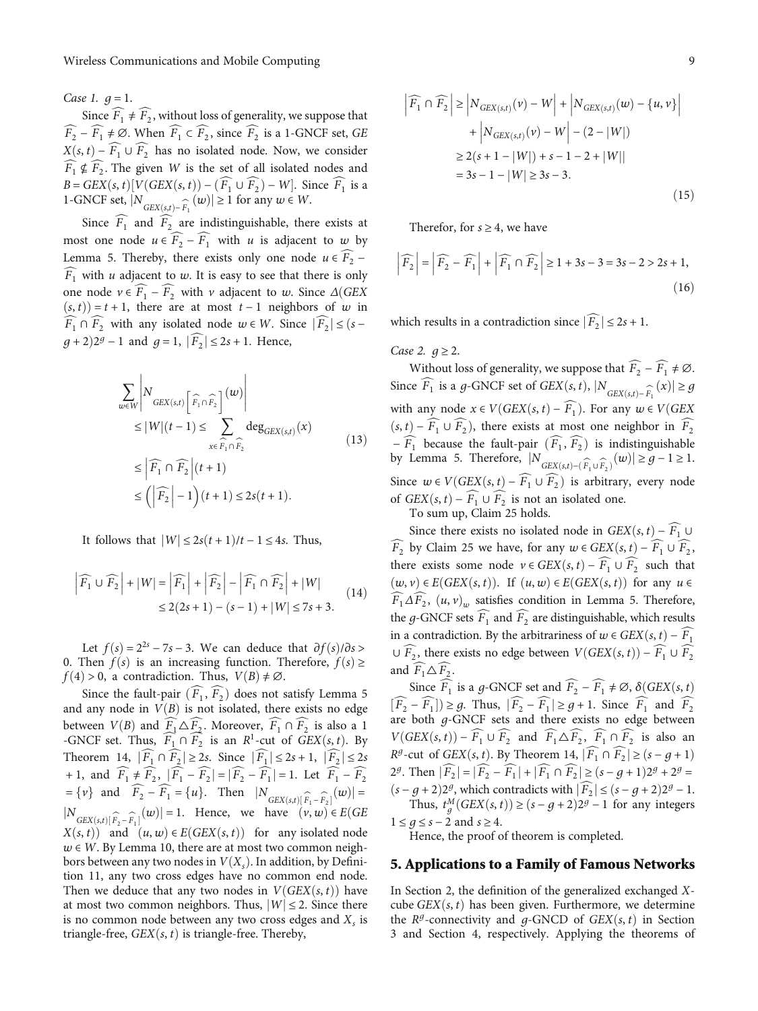<span id="page-8-0"></span>*Case 1.*  $q = 1$ .

Since  $\widehat{F}_1 \neq \widehat{F}_2$ , without loss of generality, we suppose that  $\widehat{F}_2 - \widehat{F}_1 \neq \emptyset$ . When  $\widehat{F}_1 \subset \widehat{F}_2$ , since  $\widehat{F}_2$  is a 1-GNCF set, *GE*  $X(s, t) - \widehat{F_1} \cup \widehat{F_2}$  has no isolated node. Now, we consider  $\widehat{F}_1 \nsubseteq \widehat{F}_2$ . The given *W* is the set of all isolated nodes and *B* = *GEX* $(s, t)$  $[V(GEX(s, t)) - (F_1 \cup F_2) - W]$ . Since  $F_1$  is a 1-GNCF set  $|N(\sigma)| > 1$  for any  $w \in W$ 1-GNCF set,  $|N_{GEX(s,t)-\widehat{F}_1}(w)| \ge 1$  for any  $w \in W$ .

Since  $\widehat{F}_1$  and  $\widehat{F}_2$  are indistinguishable, there exists at most one node  $u \in \widehat{F_2} - \widehat{F_1}$  with *u* is adjacent to *w* by Lemma [5.](#page-2-0) Thereby, there exists only one node  $u \in \widehat{F_2}$  −  $\widetilde{F}_1$  with *u* adjacent to *w*. It is easy to see that there is only one node  $v \in F_1 - F_2$  with *v* adjacent to *w*. Since  $\Delta(GEX(s, t)) = t + 1$  there are at most  $t - 1$  neighbors of *w* in  $(s, t) = t + 1$ , there are at most  $t - 1$  neighbors of *w* in  $F_1 \cap F_2$  with any isolated node  $w \in W$ . Since  $|F_2| \leq (s - 1)$ *g* + 2)2<sup>*g*</sup> − 1 and *g* = 1,  $|\widehat{F}_2|$  ≤ 2*s* + 1. Hence,

$$
\sum_{w \in W} \left| N_{GEX(s,t)} \left[ \widehat{F}_1 \cap \widehat{F}_2 \right]^{(w)} \right|
$$
\n
$$
\leq |W|(t-1) \leq \sum_{x \in \widehat{F}_1 \cap \widehat{F}_2} \deg_{GEX(s,t)}(x)
$$
\n
$$
\leq \left| \widehat{F}_1 \cap \widehat{F}_2 \right| (t+1)
$$
\n
$$
\leq \left( \left| \widehat{F}_2 \right| - 1 \right) (t+1) \leq 2s(t+1).
$$
\n(13)

It follows that  $|W| \leq 2s(t+1)/t - 1 \leq 4s$ . Thus,

$$
\left|\widehat{F_1} \cup \widehat{F_2}\right| + |W| = \left|\widehat{F_1}\right| + \left|\widehat{F_2}\right| - \left|\widehat{F_1} \cap \widehat{F_2}\right| + |W|
$$
  

$$
\leq 2(2s+1) - (s-1) + |W| \leq 7s + 3.
$$
 (14)

Let  $f(s) = 2^{2s} - 7s - 3$ . We can deduce that  $\partial f(s)/\partial s$ 0. Then  $f(s)$  is an increasing function. Therefore,  $f(s) \geq$  $f(4) > 0$ , a contradiction. Thus,  $V(B) \neq \emptyset$ .

Since the fault-pair  $(\widehat{F}_1, \widehat{F}_2)$  does not satisfy Lemma [5](#page-2-0) and any node in  $V(B)$  is not isolated, there exists no edge between *V*(*B*) and  $\widehat{F_1} \triangle \widehat{F_2}$ . Moreover,  $\widehat{F_1} \cap \widehat{F_2}$  is also a 1<br>-GNCF set Thus  $\widehat{F_2} \cap \widehat{F_2}$  is an  $R^1$ -cut of  $GFX(s, t)$  By -GNCF set. Thus,  $F_1 \cap F_2$  is an  $R^1$ -cut of *GEX* $(s, t)$ . By Theorem [14](#page-6-0),  $|\widehat{F_1} \cap \widehat{F_2}| \ge 2s$ . Since  $|\widehat{F_1}| \le 2s + 1$ ,  $|\widehat{F_2}| \le 2s$ + 1, and  $\widehat{F}_1 \neq \widehat{F}_2$ ,  $|\widehat{F}_1 - \widehat{F}_2| = |\widehat{F}_2 - \widehat{F}_1| = 1$ . Let  $\widehat{F}_1 - \widehat{F}_2$  $=\{v\}$  and  $F_2 - F_1 = \{u\}$ . Then  $|N_{GEX(s,t)[\widehat{F}_1 - \widehat{F}_2]}(w)| =$  $GEX(s,t)[F_1 - F_2]$  $|N_{GEX(st)}[\hat{F}_2 - \hat{F}_1](w)| = 1$ . Hence, we have  $(v, w) \in E(GE)$  $X(s, t)$  and  $(u, w) \in E(GEX(s, t))$  for any isolated node  $w \in W$ . By Lemma [10,](#page-3-0) there are at most two common neighbors between any two nodes in  $V(X_s)$ . In addition, by Definition [11,](#page-3-0) any two cross edges have no common end node. Then we deduce that any two nodes in  $V(GEX(s, t))$  have at most two common neighbors. Thus,  $|W| \le 2$ . Since there is no common node between any two cross edges and  $X<sub>s</sub>$  is triangle-free,  $GEX(s, t)$  is triangle-free. Thereby,

$$
\left| \widehat{F}_1 \cap \widehat{F}_2 \right| \ge \left| N_{GEX(s,t)}(v) - W \right| + \left| N_{GEX(s,t)}(w) - \{u, v\} \right|
$$
  
+ 
$$
\left| N_{GEX(s,t)}(v) - W \right| - (2 - |W|)
$$
  

$$
\ge 2(s + 1 - |W|) + s - 1 - 2 + |W|
$$
  
= 3s - 1 - |W| \ge 3s - 3. (15)

Therefor, for  $s \geq 4$ , we have

$$
\left|\widehat{F}_2\right| = \left|\widehat{F}_2 - \widehat{F}_1\right| + \left|\widehat{F}_1 \cap \widehat{F}_2\right| \ge 1 + 3s - 3 = 3s - 2 > 2s + 1,
$$
\n(16)

which results in a contradiction since  $|\widehat{F}_2| \le 2s + 1$ .

*Case 2.*  $g \geq 2$ *.* 

Without loss of generality, we suppose that  $\widehat{F_2} - \widehat{F_1} \neq \emptyset$ . Since  $F_1$  is a *g*-GNCF set of *GEX* $(s, t)$ ,  $|N_{GEX(s,t)-\widehat{F}_1}(x)| \ge g$ with any node  $x \in V(GEX(s, t) - \widehat{F}_1)$ . For any  $w \in V(GEX)$  $(s, t)$  −  $F_1 \cup F_2$ ), there exists at most one neighbor in  $F_2$ <br> $\widehat{F_1}$  because the foult pair  $(\widehat{F_2}, \widehat{F_2})$  is indictinguishable  $-F_1$  because the fault-pair  $(F_1, F_2)$  is indistinguishable<br>w Lemma 5. Therefore  $|N| \geq \epsilon \leq (|w|) \geq 1$ by Lemma [5.](#page-2-0) Therefore,  $|N_{GEX(s,t)-(\widehat{F}_1 \cup \widehat{F}_2)}(w)| \ge g-1 \ge 1$ . Since  $w \in V(GEX(s, t) - \widehat{F_1} \cup \widehat{F_2})$  is arbitrary, every node of *GEX* $(s, t) - \widehat{F_1} \cup \widehat{F_2}$  is not an isolated one.

To sum up, Claim [25](#page-7-0) holds.

Since there exists no isolated node in *GEX*(*s*, *t*) −  $\widehat{F_1}$  ∪  $\widehat{F}_2$  by Claim [25](#page-7-0) we have, for any  $w \in GEX(s, t) - \widehat{F}_1 \cup \widehat{F}_2$ , there exists some node  $v \in GEX(s, t) - \widehat{F_1} \cup \widehat{F_2}$  such that  $(w, v) ∈ E(GEX(s, t))$ . If  $(u, w) ∈ E(GEX(s, t))$  for any  $u ∈$  $\widehat{F_1} \Delta \widehat{F_2}$ ,  $(u, v)$ <sub>w</sub> satisfies condition in Lemma [5](#page-2-0). Therefore, the *g*-GNCF sets  $\widehat{F_1}$  and  $\widehat{F_2}$  are distinguishable, which results in a contradiction. By the arbitrariness of *w* ∈ *GEX*(*s*, *t*) −  $\widehat{F_1}$ ∪  $\widehat{F}_2$ , there exists no edge between *V*(*GEX*(*s*, *t*)) −  $\widehat{F}_1$  ∪  $\widehat{F}_2$ and  $\widehat{F_1} \triangle \widehat{F_2}$ .

Since  $\widehat{F}_1$  is a *g*-GNCF set and  $\widehat{F}_2 - \widehat{F}_1 \neq \emptyset$ ,  $\delta(GEX(s, t))$  $[F_2 - F_1]$  ≥ *g*. Thus,  $|F_2 - F_1|$  ≥ *g* + 1. Since  $F_1$  and  $F_2$ <br>are both *g*-GNCF sets and there exists no edge between are both *g*-GNCF sets and there exists no edge between<br> $V(GEV(\cdot, t))$ *V* $(\text{GEX}(s, t)) - \widehat{F_1} \cup \widehat{F_2}$  and  $\widehat{F_1} \triangle \widehat{F_2}$ ,  $\widehat{F_1} \cap \widehat{F_2}$  is also an  $R^g$ -cut of *GEX* $(s, t)$ . By Theorem [14,](#page-6-0)  $|\widehat{F}_1 \cap \widehat{F}_2| \ge (s - g + 1)$ 2<sup>*g*</sup>. Then  $|F_2| = |F_2 - F_1| + |F_1 \cap F_2| \ge (s - g + 1)2^g + 2^g =$  $(s-g+2)2^g$ , which contradicts with  $|\widehat{F}_2| \le (s-g+2)2^g - 1$ . Thus,  $t_g^M(GEX(s, t)) \ge (s - g + 2)2^g - 1$  for any integers  $1 \leq q \leq s - 2$  and  $s \geq 4$ .

Hence, the proof of theorem is completed.

#### 5. Applications to a Family of Famous Networks

In Section [2,](#page-2-0) the definition of the generalized exchanged *X*cube  $GEX(s, t)$  has been given. Furthermore, we determine the  $R^g$ -connectivity and  $g$ -GNCD of  $GEX(s, t)$  in Section [3](#page-4-0) and Section [4](#page-6-0), respectively. Applying the theorems of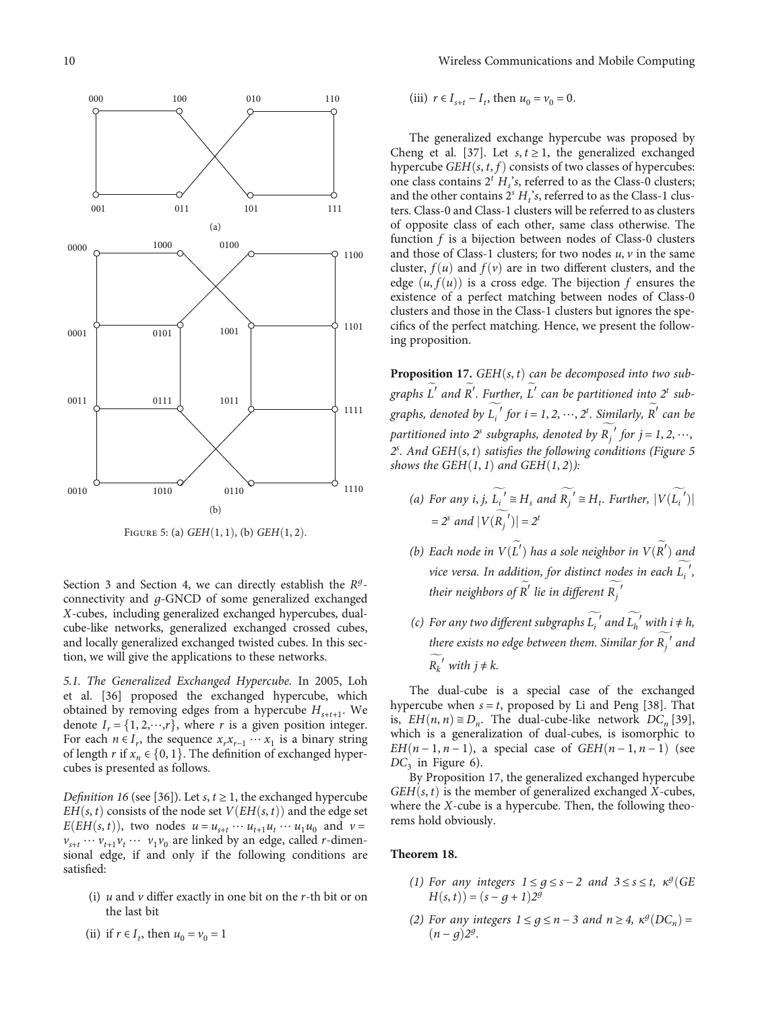

FIGURE 5: (a)  $GEH(1,1)$ , (b)  $GEH(1,2)$ .

Section [3](#page-4-0) and Section [4,](#page-6-0) we can directly establish the *R<sup>g</sup>*connectivity and *g*-GNCD of some generalized exchanged *X*-cubes, including generalized exchanged hypercubes, dualcube-like networks, generalized exchanged crossed cubes, and locally generalized exchanged twisted cubes. In this section, we will give the applications to these networks.

5.1. The Generalized Exchanged Hypercube. In 2005, Loh et al. [[36](#page-15-0)] proposed the exchanged hypercube, which obtained by removing edges from a hypercube  $H_{s+t+1}$ . We denote  $I_r = \{1, 2, \dots, r\}$ , where *r* is a given position integer. For each  $n \in I_r$ , the sequence  $x_r x_{r-1} \cdots x_1$  is a binary string of length *r* if  $x_n \in \{0, 1\}$ . The definition of exchanged hypercubes is presented as follows.

*Definition 16* (see [[36](#page-15-0)]). Let  $s, t \geq 1$ , the exchanged hypercube *EH* $(s, t)$  consists of the node set  $V(EH(s, t))$  and the edge set  $E(EH(s, t))$ , two nodes  $u = u_{s+t} \cdots u_{t+1} u_t \cdots u_1 u_0$  and  $v = v \cdots v, v, v$ , are linked by an edge called *r*-diment  $v_{s+t}$   $\cdots$   $v_{t+1}v_t$   $\cdots$   $v_1v_0$  are linked by an edge, called *r*-dimen-<br>sional edge, if and only if the following conditions are sional edge, if and only if the following conditions are satisfied:

(i) *u* and *v* differ exactly in one bit on the *r*-th bit or on the last bit

(iii)  $r \in I_{s+t} - I_t$ , then  $u_0 = v_0 = 0$ .

The generalized exchange hypercube was proposed by Cheng et al. [[37](#page-15-0)]. Let  $s, t \geq 1$ , the generalized exchanged hypercube *GEH* $(s, t, f)$  consists of two classes of hypercubes: one class contains  $2<sup>t</sup> H<sub>s</sub><sup>t</sup>$ , referred to as the Class-0 clusters; and the other contains  $2<sup>s</sup> H<sub>t</sub>$ 's, referred to as the Class-1 clusters. Class-0 and Class-1 clusters will be referred to as clusters of opposite class of each other, same class otherwise. The function *f* is a bijection between nodes of Class-0 clusters and those of Class-1 clusters; for two nodes *u*, *v* in the same cluster,  $f(u)$  and  $f(v)$  are in two different clusters, and the edge  $(u, f(u))$  is a cross edge. The bijection f ensures the existence of a perfect matching between nodes of Class-0 clusters and those in the Class-1 clusters but ignores the specifics of the perfect matching. Hence, we present the following proposition.

**Proposition 17.** *GEH* $(s, t)$  *can be decomposed into two sub*graphs L' and R'. Further, L' can be partitioned into 2<sup>t</sup> subgraphs, denoted by  $L_i'$  for  $i = 1, 2, \dots, 2^t$ . Similarly, R<sup>'</sup> can be partitioned into  $2^s$  subgraphs, denoted by  $R_j^f$  for  $j = 1, 2, \dots$ ,<br> $2^s$ , And CEH(s, t) satisfies the following conditions (Figure 4)  $f$ , And *GEH* $(s, t)$  satisfies the following conditions (Figure 5 ows the *GEH* $(1, 2)$ ). *z*: And *GEH* $(s, t)$  satisfies the *Johown*<br>shows the *GEH* $(1, 1)$  and *GEH* $(1, 2)$ ):

- (a) For any *i*, *j*,  $L_i' \cong H_s$  and  $R_j' \cong H_t$ . Further,  $|V(L_i')|$  $= 2^{s}$  and  $|V(R_j^{\prime})| = 2^{t}$ *j*
- (b) Each node in  $V(L')$  has a sole neighbor in  $V(R')$  and vice versa. In addition, for distinct nodes in each *L*<sub>i</sub><sup>'</sup>, their neighbors of  $R'$  lie in different  $R_j^{\prime}$ *j*
- (c) For any two different subgraphs  $L_i'$  and  $L_h'$  with  $i \neq h$ , there exists no edge between them. Similar for  $R_j^{\phantom{j}}$  and  $\widetilde{\hphantom{m}}$ *j*  $R_k^{\prime}$  *with*  $j \neq k$ .

The dual-cube is a special case of the exchanged hypercube when  $s = t$ , proposed by Li and Peng [\[38\]](#page-15-0). That is,  $EH(n, n) \cong D_n$ . The dual-cube-like network  $DC_n$  [[39](#page-15-0)], which is a generalization of dual-cubes, is isomorphic to *EH* $(n-1, n-1)$ , a special case of *GEH* $(n-1, n-1)$  (see  $DC_3$  in Figure [6\)](#page-10-0).

By Proposition 17, the generalized exchanged hypercube  $GEH(s, t)$  is the member of generalized exchanged *X*-cubes, where the *X*-cube is a hypercube. Then, the following theorems hold obviously.

#### **Theorem 18.**

- (1) For any integers  $1 ≤ g ≤ s − 2$  and  $3 ≤ s ≤ t$ ,  $\kappa^g$  (GE  $H(s, t) = (s - g + 1)2^g$
- (2) For any integers  $1 ≤ g ≤ n 3$  and  $n ≥ 4$ ,  $\kappa^g(DC_n) =$  $(n - g)2^g$ .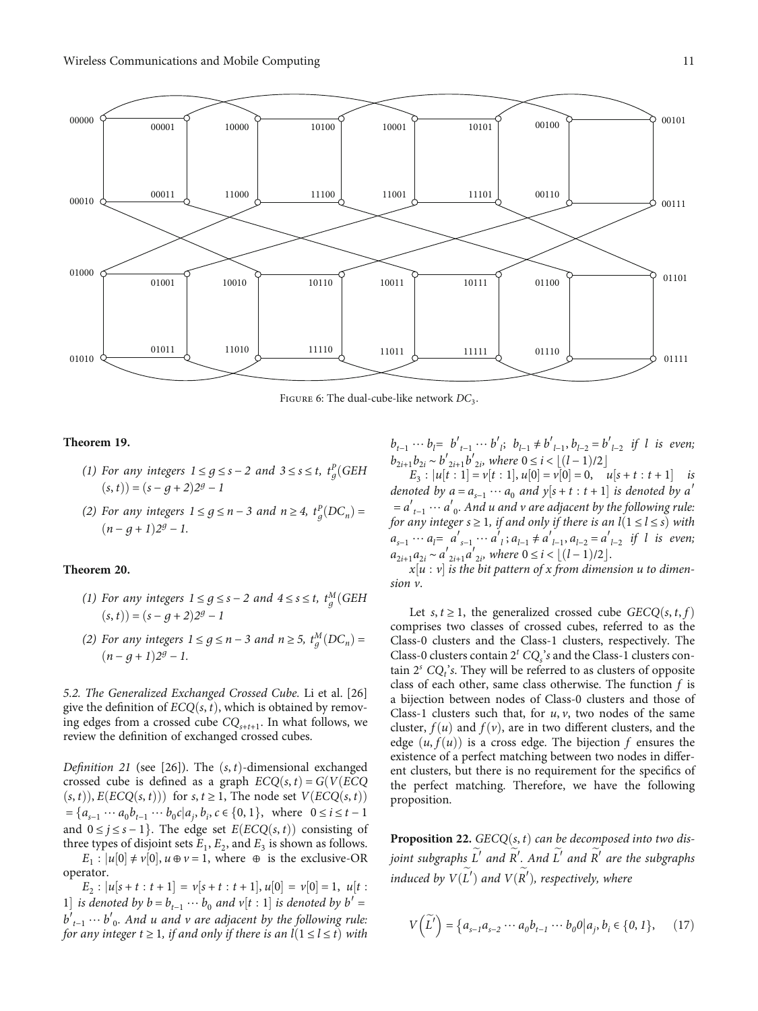<span id="page-10-0"></span>

FIGURE 6: The dual-cube-like network  $DC_3$ .

#### **Theorem 19.**

- (1) For any integers  $1 \le g \le s 2$  and  $3 \le s \le t$ ,  $t_g^p$  (GEH  $(s, t) = (s - q + 2)2^g - 1$
- (2) For any integers  $1 \le g \le n-3$  and  $n \ge 4$ ,  $t_g^p(DC_n) =$  $(n - q + 1)2^g - 1$ .

#### **Theorem 20.**

- (1) For any integers  $1 \le g \le s 2$  and  $4 \le s \le t$ ,  $t_g^M$  (GEH  $(s, t) = (s - g + 2)2^g - 1$
- (2) For any integers  $1 \le g \le n-3$  and  $n \ge 5$ ,  $t_g^M(DC_n) =$ <br>(*n* − *a* + 1) <sup>2*a*</sup> → 1</sup>  $(n - q + 1)2^g - 1$ .

5.2. The Generalized Exchanged Crossed Cube. Li et al. [[26\]](#page-15-0) give the definition of  $ECQ(s, t)$ , which is obtained by removing edges from a crossed cube *CQs*<sup>+</sup>*t*+1. In what follows, we review the definition of exchanged crossed cubes.

Definition 21 (see [[26](#page-15-0)]). The  $(s, t)$ -dimensional exchanged crossed cube is defined as a graph  $ECQ(s, t) = G(V)ECQ$  $(s, t)$ ,  $E(ECQ(s, t))$  for *s*,  $t \geq 1$ , The node set  $V(ECQ(s, t))$  $=\{a_{s-1} \cdots a_0b_{t-1} \cdots b_0c|a_j, b_i, c \in \{0, 1\}, \text{ where } 0 \le i \le t-1\}$ and  $0 \le j \le s - 1$ }. The edge set *E*(*ECQ*(*s*, *t*)) consisting of three types of disjoint sets  $E_1$ ,  $E_2$ , and  $E_3$  is shown as follows.

 $E_1: |u[0] \neq v[0], u \oplus v = 1$ , where  $\oplus$  is the exclusive-OR operator.

 $E_2$ :  $[u[s+t:t+1] = v[s+t:t+1], u[0] = v[0] = 1, u[t:$ <br> *s* denoted by  $h = h$  , *w*, *h*, and  $v[t:1]$  is denoted by  $h' =$ 1) is denoted by  $b = b_{t-1} \cdots b_0$  and  $v[t:1]$  is denoted by  $b' = b'$ <br>  $b' = w, b' = And, u, and v, are adjacent, by the following rule.$ *b*<sup>'</sup><sub>t−1</sub> … *b*<sup>'</sup><sub>0</sub>. And *u* and *v* are adjacent by the following rule:<br>for any integer t > 1 if and only if there is an  $I(1 \le l \le t)$  with for any integer  $t \ge 1$ , if and only if there is an  $l(1 \le l \le t)$  with *b*<sub>t−1</sub> ⋯ *b<sub>i</sub>*</sub> *b'*<sub>*t*-1</sub> ··· *b'*<sub>*j*</sub>; *b<sub>i-1</sub>*  $\ne$ *b'*<sub>*l*-1</sub>, *b<sub>i-2</sub>* = *b'*<sub>*l*-2</sub> if *l* is even; *b*<sub>2*i*+1</sub>*b*<sub>2</sub>*i*</sub> ∼ *b*<sup> $\prime$ </sup><sub>2*i*</sub>+1*b*<sup> $\prime$ </sup><sub>2*i*</sub>, where 0 ≤ *i* <  $[(l-1)/2]$ <br>*F* + |*u*[*t* + 1] − *v*[*t* + 1] *u*[0] − *v*[0] − 0

 $E_3$ :  $|u[t:1] = v[t:1], u[0] = v[0] = 0, \quad u[s+t:t+1]$  is<br>oted by  $a = a$ , and  $v[s+t:t+1]$  is denoted by  $a'$ denoted by  $a = a_{s-1} \cdots a_0$  and  $y[s + t : t + 1]$  is denoted by a<sup>*'*</sup><br> $a' = a'$ ,  $a' = b$  advector are adjacent by the following rules = *a*′ *t*−<sup>1</sup> <sup>⋯</sup> *<sup>a</sup>*′ <sup>0</sup>. And *u* and *v* are adjacent by the following rule: *for any integer s*  $\geq$  1, *if and only if there is an*  $l(1 \leq l \leq s)$  with  $a_{s-1}$  …  $a_l = a'_{s-1}$  …  $a'_{l}$ ;  $a_{l-1} \neq a'_{l-1}$ ,  $a_{l-2} = a'_{l-2}$  if *l* is even;  $a_{2i+1}a_{2i} \sim a'_{2i+1}a'_{2i}$ , where  $0 \le i \le \lfloor (l-1)/2 \rfloor$ .<br> *x*[*u* · *v*] *is the hit pattern of x from dimen* 

*x*½*u* : *v*- is the bit pattern of *x* from dimension *u* to dimension *v*.

Let *s*,  $t \geq 1$ , the generalized crossed cube *GECQ*(*s*, *t*, *f*) comprises two classes of crossed cubes, referred to as the Class-0 clusters and the Class-1 clusters, respectively. The Class-0 clusters contain  $2^t$   $CQ_s$ 's and the Class-1 clusters contain  $2<sup>s</sup> CQ<sub>t</sub>$ 's. They will be referred to as clusters of opposite class of each other, same class otherwise. The function *f* is a bijection between nodes of Class-0 clusters and those of Class-1 clusters such that, for *u*, *v*, two nodes of the same cluster,  $f(u)$  and  $f(v)$ , are in two different clusters, and the edge  $(u, f(u))$  is a cross edge. The bijection  $f$  ensures the existence of a perfect matching between two nodes in different clusters, but there is no requirement for the specifics of the perfect matching. Therefore, we have the following proposition.

**Proposition 22.**  $GECQ(s, t)$  can be decomposed into two disjoint subgraphs L<sup>'</sup> and R<sup>'</sup>. And L<sup>'</sup> and R<sup>'</sup> are the subgraphs induced by  $V(L')$  and  $V(R'),$  respectively, where

$$
V(\widetilde{L}') = \left\{ a_{s-1}a_{s-2}\cdots a_0b_{t-1}\cdots b_00 \middle| a_j, b_i \in \{0, 1\},\right\}.
$$
 (17)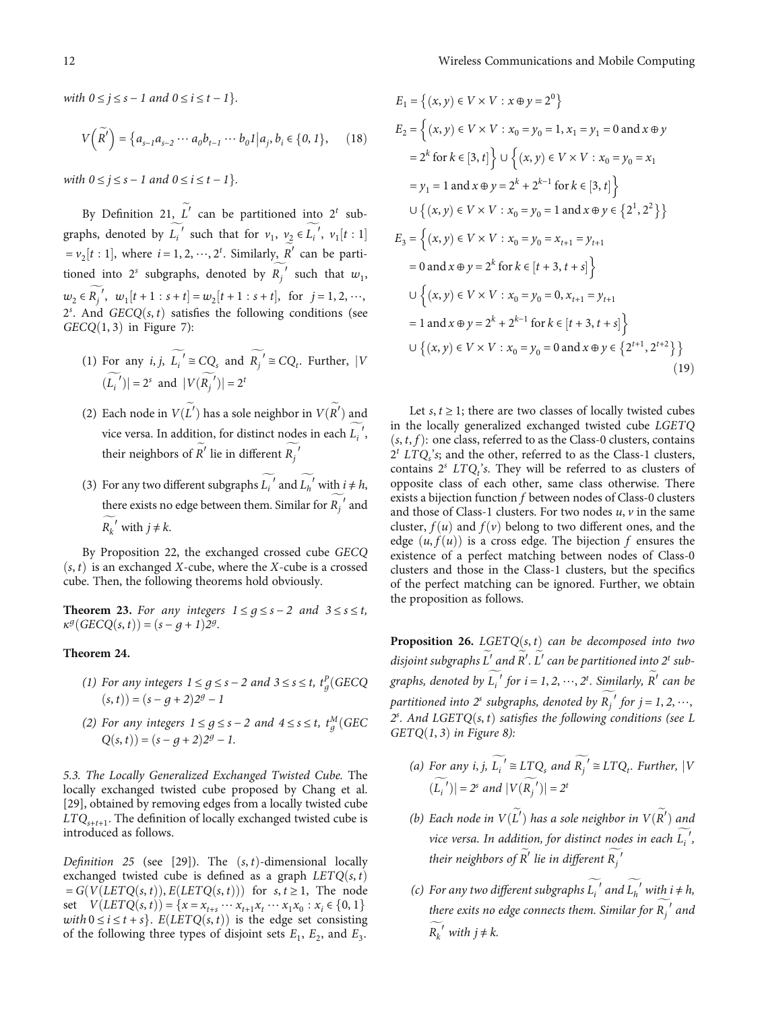<span id="page-11-0"></span>with  $0 \le j \le s - 1$  and  $0 \le i \le t - 1$ .

$$
V\left(\widetilde{R}'\right) = \left\{a_{s-1}a_{s-2}\cdots a_0b_{t-1}\cdots b_01\middle|a_j, b_i \in \{0, 1\},\right\} \tag{18}
$$

*with*  $0 \le j \le s - 1$  *and*  $0 \le i \le t - 1$ .

By Definition [21](#page-10-0),  $L'$  can be partitioned into 2<sup>t</sup> subgraphs, denoted by  $L_i'$  such that for  $v_1$ ,  $v_2 \in L_i'$ ,  $v_1[t:1]$  $= v_2[t : 1]$ , where  $i = 1, 2, \dots, 2^t$ . Similarly,  $R'$  can be partitioned into 2<sup>*s*</sup> subgraphs, denoted by  $R_j'$  such that  $w_1$ , *j*  $w_2 \in R_j'$ ,  $w_1[t+1:s+t] = w_2[t+1:s+t]$ , for  $j=1,2,\dots,$ <br>2<sup>5</sup>. And *GECQ(s, t)* satisfies the following conditions (see<br>*GECQ(1* 3) in Figure 7).  $GECQ(1, 3)$  in Figure [7\)](#page-12-0):

- (1) For any *i*, *j*,  $L_i' \cong CQ_s$  and  $R_j' \cong CQ_t$ . Further, |*V j* ð*L*  $|V({R_j}')| = 2^s$  and  $|V({R_j}')| = 2^t$ *j*
- (2) Each node in  $V(L')$  has a sole neighbor in  $V(R')$  and vice versa. In addition, for distinct nodes in each  $L_i'$ , their neighbors of  $R'$  lie in different  $R_j'$

*j*

(3) For any two different subgraphs  $L_i'$  and  $L_h'$  with  $i \neq h$ , there exists no edge between them. Similar for  $R_j^{\prime}$  and  $\sim$ *j*  $R_k'$  with  $j \neq k$ .

By Proposition [22,](#page-10-0) the exchanged crossed cube *GECQ*  $(s, t)$  is an exchanged *X*-cube, where the *X*-cube is a crossed cube. Then, the following theorems hold obviously.

**Theorem 23.** For any integers  $1 \leq q \leq s - 2$  and  $3 \leq s \leq t$ ,  $\kappa^g(GECQ(s,t)) = (s - g + 1)2^g$ .

#### **Theorem 24.**

- (1) For any integers  $1 \le g \le s 2$  and  $3 \le s \le t$ ,  $t_g^p$  (GECQ  $(s, t) = (s - g + 2)2^g - 1$
- (2) For any integers  $1 \le g \le s 2$  and  $4 \le s \le t$ ,  $t_g^M(GEC$ <br> $Q(s, t)) = (s g + 2)2^g 1$ .

5.3. The Locally Generalized Exchanged Twisted Cube. The locally exchanged twisted cube proposed by Chang et al. [\[29](#page-15-0)], obtained by removing edges from a locally twisted cube *LTQs*<sup>+</sup>*t*+1. The definition of locally exchanged twisted cube is introduced as follows.

Definition 25 (see [[29\]](#page-15-0)). The  $(s, t)$ -dimensional locally exchanged twisted cube is defined as a graph  $LETQ(s, t)$  $= G(V(LETQ(s, t)), E(LETQ(s, t)))$  for  $s, t \geq 1$ , The node set  $V(LETQ(s,t)) = {x = x_{t+s} \cdots x_{t+1} x_t \cdots x_1 x_0 : x_i \in \{0, 1\}$ *with*  $0 \le i \le t + s$ .  $E(LETQ(s, t))$  is the edge set consisting of the following three types of disjoint sets  $F_1$ ,  $F_2$  and  $F_3$ . of the following three types of disjoint sets  $E_1$ ,  $E_2$ , and  $E_3$ .

$$
E_1 = \{(x, y) \in V \times V : x \oplus y = 2^0\}
$$
  
\n
$$
E_2 = \{(x, y) \in V \times V : x_0 = y_0 = 1, x_1 = y_1 = 0 \text{ and } x \oplus y
$$
  
\n
$$
= 2^k \text{ for } k \in [3, t] \} \cup \{(x, y) \in V \times V : x_0 = y_0 = x_1
$$
  
\n
$$
= y_1 = 1 \text{ and } x \oplus y = 2^k + 2^{k-1} \text{ for } k \in [3, t] \}
$$
  
\n
$$
\cup \{(x, y) \in V \times V : x_0 = y_0 = 1 \text{ and } x \oplus y \in \{2^1, 2^2\} \}
$$
  
\n
$$
E_3 = \{(x, y) \in V \times V : x_0 = y_0 = x_{t+1} = y_{t+1}
$$
  
\n
$$
= 0 \text{ and } x \oplus y = 2^k \text{ for } k \in [t+3, t+s] \}
$$
  
\n
$$
\cup \{(x, y) \in V \times V : x_0 = y_0 = 0, x_{t+1} = y_{t+1}
$$
  
\n
$$
= 1 \text{ and } x \oplus y = 2^k + 2^{k-1} \text{ for } k \in [t+3, t+s] \}
$$
  
\n
$$
\cup \{(x, y) \in V \times V : x_0 = y_0 = 0 \text{ and } x \oplus y \in \{2^{t+1}, 2^{t+2}\} \}
$$
  
\n(19)

Let  $s, t \geq 1$ ; there are two classes of locally twisted cubes in the locally generalized exchanged twisted cube *LGETQ*  $(s, t, f)$ : one class, referred to as the Class-0 clusters, contains  $2<sup>t</sup> LTQ<sub>s</sub>$ 's; and the other, referred to as the Class-1 clusters, contains  $2<sup>s</sup>$  *LTQ<sub>t</sub>*'s. They will be referred to as clusters of opposite class of each other, same class otherwise. There exists a bijection function *f* between nodes of Class-0 clusters and those of Class-1 clusters. For two nodes *u*, *v* in the same cluster,  $f(u)$  and  $f(v)$  belong to two different ones, and the edge  $(u, f(u))$  is a cross edge. The bijection f ensures the existence of a perfect matching between nodes of Class-0 clusters and those in the Class-1 clusters, but the specifics of the perfect matching can be ignored. Further, we obtain the proposition as follows.

**Proposition 26.** *LGETQ* $(s, t)$  *can be decomposed into two* disjoint subgraphs L' and R'. L' can be partitioned into 2<sup>*t*</sup> subgraphs, denoted by  $L_i'$  for  $i = 1, 2, \dots, 2^t$ . Similarly, R<sup>'</sup> can be partitioned into  $2^s$  subgraphs, denoted by  $R_j^f$  for  $j = 1, 2, \dots$ ,<br> $2^s$ , And LCETO(s, t) satisfies the following conditions (see I *j* . And *LGETQ*ð*s*, *t*Þ satisfies the following conditions (see *L*  $Z^2$ . And  $LGEI$   $Q(s, t)$  sat.<br> $GETQ(1, 3)$  in Figure [8](#page-12-0)):

- (a) For any *i*, *j*,  $L_i' \cong LTQ_s$  and  $R_j' \cong LTQ_t$ . Further, |*V j*  $(|L_i^{\prime}|) = 2^s$  and  $|V(R_j^{\prime})| = 2^t$ *j*
- (b) Each node in  $V(L')$  has a sole neighbor in  $V(R')$  and vice versa. In addition, for distinct nodes in each *L*<sub>i</sub><sup>'</sup>, their neighbors of R<sup>'</sup> lie in different  $R_j^{\phantom{j}'}$ *j*
- (c) For any two different subgraphs  $L_i'$  and  $L_h'$  with  $i \neq h$ , there exits no edge connects them. Similar for  $R_j^{\phantom{j}}$  and  $\widetilde{\hphantom{A}}$ *j*  $R_k^{\prime}$  *with*  $j \neq k$ .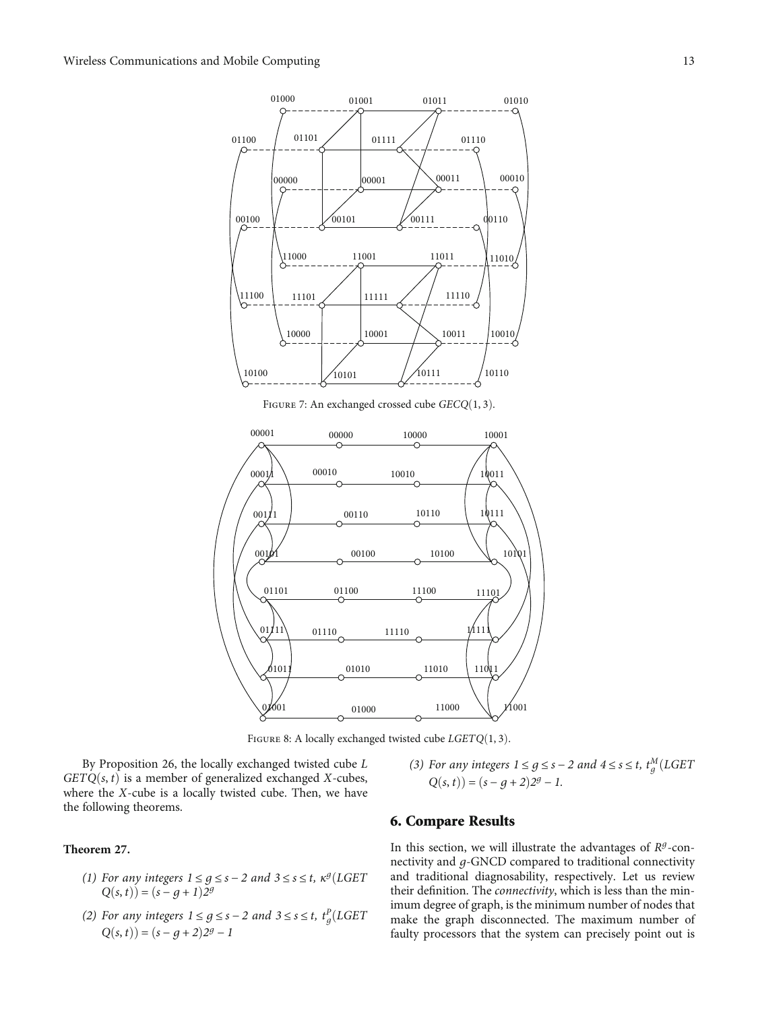<span id="page-12-0"></span>

FIGURE 7: An exchanged crossed cube *GECQ*(1,3).



FIGURE 8: A locally exchanged twisted cube *LGETQ*(1,3).

By Proposition [26,](#page-11-0) the locally exchanged twisted cube *L*  $GETQ(s, t)$  is a member of generalized exchanged *X*-cubes, where the *X*-cube is a locally twisted cube. Then, we have the following theorems.

### **Theorem 27.**

- (1) For any integers  $1 \le g \le s 2$  and  $3 \le s \le t$ ,  $\kappa^g (LGET)$  $Q(s, t) = (s - g + 1)2^g$
- (2) For any integers  $1 \le g \le s 2$  and  $3 \le s \le t$ ,  $t_g^p$ (LGET  $Q(s, t) = (s a + 3)3^q 1$  $Q(s, t) = (s - g + 2)2^g - 1$

(3) For any integers  $1 \le g \le s - 2$  and  $4 \le s \le t$ ,  $t_g^M(LGET(GF))$  $Q(s, t) = (s - q + 2)2^g - 1$ .

## 6. Compare Results

In this section, we will illustrate the advantages of  $R<sup>g</sup>$ -connectivity and *g*-GNCD compared to traditional connectivity and traditional diagnosability, respectively. Let us review their definition. The connectivity, which is less than the minimum degree of graph, is the minimum number of nodes that make the graph disconnected. The maximum number of faulty processors that the system can precisely point out is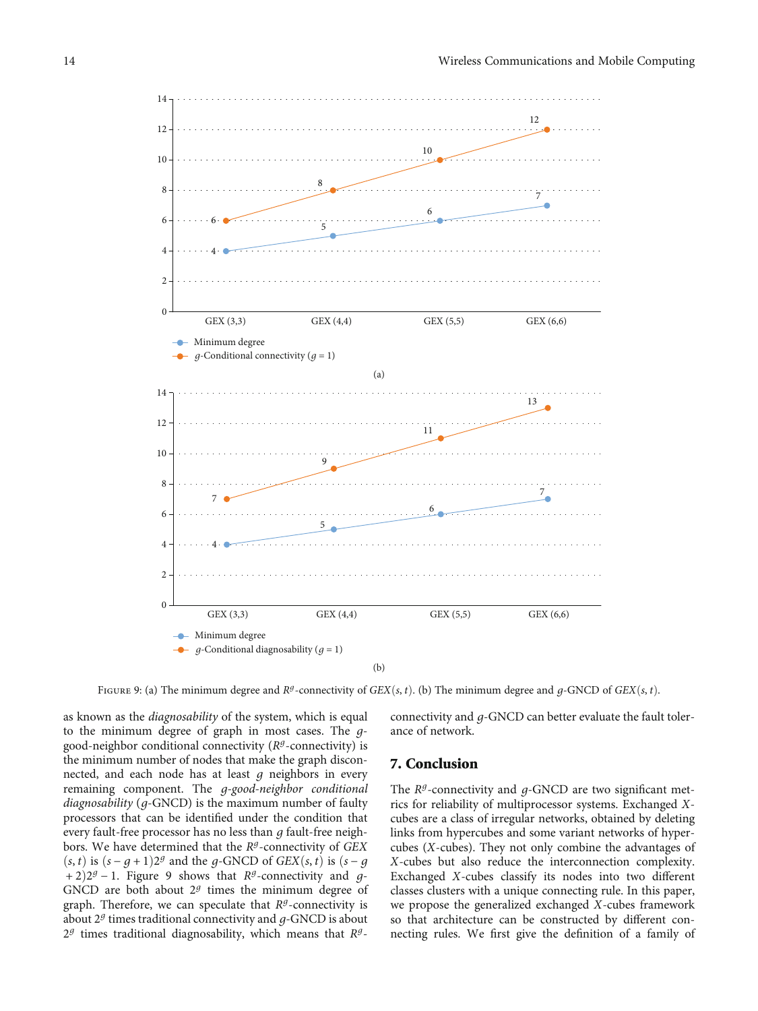<span id="page-13-0"></span>

FIGURE 9: (a) The minimum degree and  $R^g$ -connectivity of *GEX*(*s*, *t*). (b) The minimum degree and *q*-GNCD of *GEX*(*s*, *t*).

as known as the *diagnosability* of the system, which is equal to the minimum degree of graph in most cases. The *g*good-neighbor conditional connectivity (*R<sup>g</sup>*-connectivity) is the minimum number of nodes that make the graph disconnected, and each node has at least *g* neighbors in every remaining component. The *g*-good-neighbor conditional diagnosability (*g*-GNCD) is the maximum number of faulty processors that can be identified under the condition that every fault-free processor has no less than *g* fault-free neighbors. We have determined that the *<sup>R</sup><sup>g</sup>*-connectivity of *GEX*  $(s, t)$  is  $(s - q + 1)2^g$  and the *q*-GNCD of *GEX* $(s, t)$  is  $(s - q)$ + 2Þ2*<sup>g</sup>* <sup>−</sup> <sup>1</sup>. Figure 9 shows that *R<sup>g</sup>*-connectivity and *g*-GNCD are both about  $2<sup>g</sup>$  times the minimum degree of graph. Therefore, we can speculate that *<sup>R</sup><sup>g</sup>*-connectivity is about <sup>2</sup>*<sup>g</sup>* times traditional connectivity and *g*-GNCD is about <sup>2</sup>*<sup>g</sup>* times traditional diagnosability, which means that *R<sup>g</sup>*-

connectivity and *g*-GNCD can better evaluate the fault tolerance of network.

### 7. Conclusion

The *R<sup>g</sup>*-connectivity and *g*-GNCD are two significant metrics for reliability of multiprocessor systems. Exchanged *X*cubes are a class of irregular networks, obtained by deleting links from hypercubes and some variant networks of hypercubes (*X*-cubes). They not only combine the advantages of *X*-cubes but also reduce the interconnection complexity. Exchanged *X*-cubes classify its nodes into two different classes clusters with a unique connecting rule. In this paper, we propose the generalized exchanged *X*-cubes framework so that architecture can be constructed by different connecting rules. We first give the definition of a family of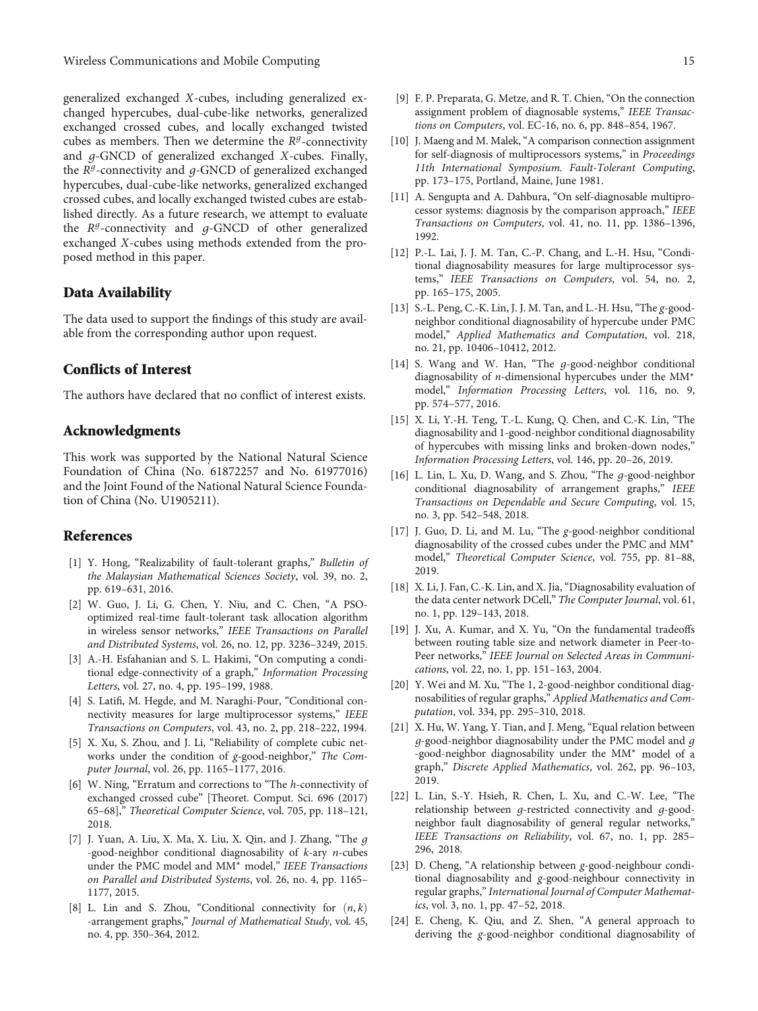<span id="page-14-0"></span>generalized exchanged *X*-cubes, including generalized exchanged hypercubes, dual-cube-like networks, generalized exchanged crossed cubes, and locally exchanged twisted cubes as members. Then we determine the  $R<sup>g</sup>$ -connectivity and *g*-GNCD of generalized exchanged *X*-cubes. Finally, the *<sup>R</sup><sup>g</sup>*-connectivity and *g*-GNCD of generalized exchanged hypercubes, dual-cube-like networks, generalized exchanged crossed cubes, and locally exchanged twisted cubes are established directly. As a future research, we attempt to evaluate the *Rg*-connectivity and *g*-GNCD of other generalized exchanged *X*-cubes using methods extended from the proposed method in this paper.

#### Data Availability

The data used to support the findings of this study are available from the corresponding author upon request.

#### Conflicts of Interest

The authors have declared that no conflict of interest exists.

### Acknowledgments

This work was supported by the National Natural Science Foundation of China (No. 61872257 and No. 61977016) and the Joint Found of the National Natural Science Foundation of China (No. U1905211).

#### References

- [1] Y. Hong, "Realizability of fault-tolerant graphs," Bulletin of the Malaysian Mathematical Sciences Society, vol. 39, no. 2, pp. 619–631, 2016.
- [2] W. Guo, J. Li, G. Chen, Y. Niu, and C. Chen, "A PSOoptimized real-time fault-tolerant task allocation algorithm in wireless sensor networks," IEEE Transactions on Parallel and Distributed Systems, vol. 26, no. 12, pp. 3236–3249, 2015.
- [3] A.-H. Esfahanian and S. L. Hakimi, "On computing a conditional edge-connectivity of a graph," Information Processing Letters, vol. 27, no. 4, pp. 195–199, 1988.
- [4] S. Latifi, M. Hegde, and M. Naraghi-Pour, "Conditional connectivity measures for large multiprocessor systems," IEEE Transactions on Computers, vol. 43, no. 2, pp. 218–222, 1994.
- [5] X. Xu, S. Zhou, and J. Li, "Reliability of complete cubic networks under the condition of g-good-neighbor," The Computer Journal, vol. 26, pp. 1165–1177, 2016.
- [6] W. Ning, "Erratum and corrections to "The h-connectivity of exchanged crossed cube" [Theoret. Comput. Sci. 696 (2017) 65–68]," Theoretical Computer Science, vol. 705, pp. 118–121, 2018.
- [7] J. Yuan, A. Liu, X. Ma, X. Liu, X. Qin, and J. Zhang, "The *g* -good-neighbor conditional diagnosability of k-ary n-cubes under the PMC model and MM<sup>∗</sup> model," IEEE Transactions on Parallel and Distributed Systems, vol. 26, no. 4, pp. 1165– 1177, 2015.
- [8] L. Lin and S. Zhou, "Conditional connectivity for  $(n, k)$ -arrangement graphs," Journal of Mathematical Study, vol. 45, no. 4, pp. 350–364, 2012.
- [9] F. P. Preparata, G. Metze, and R. T. Chien, "On the connection assignment problem of diagnosable systems," IEEE Transac-
- [10] J. Maeng and M. Malek, "A comparison connection assignment for self-diagnosis of multiprocessors systems," in Proceedings 11th International Symposium. Fault-Tolerant Computing, pp. 173–175, Portland, Maine, June 1981.

tions on Computers, vol. EC-16, no. 6, pp. 848–854, 1967.

- [11] A. Sengupta and A. Dahbura, "On self-diagnosable multiprocessor systems: diagnosis by the comparison approach," IEEE Transactions on Computers, vol. 41, no. 11, pp. 1386–1396, 1992.
- [12] P.-L. Lai, J. J. M. Tan, C.-P. Chang, and L.-H. Hsu, "Conditional diagnosability measures for large multiprocessor systems," IEEE Transactions on Computers, vol. 54, no. 2, pp. 165–175, 2005.
- [13] S.-L. Peng, C.-K. Lin, J. J. M. Tan, and L.-H. Hsu, "The g-goodneighbor conditional diagnosability of hypercube under PMC model," Applied Mathematics and Computation, vol. 218, no. 21, pp. 10406–10412, 2012.
- [14] S. Wang and W. Han, "The *g*-good-neighbor conditional diagnosability of n-dimensional hypercubes under the MM<sup>∗</sup> model," Information Processing Letters, vol. 116, no. 9, pp. 574–577, 2016.
- [15] X. Li, Y.-H. Teng, T.-L. Kung, Q. Chen, and C.-K. Lin, "The diagnosability and 1-good-neighbor conditional diagnosability of hypercubes with missing links and broken-down nodes," Information Processing Letters, vol. 146, pp. 20–26, 2019.
- [16] L. Lin, L. Xu, D. Wang, and S. Zhou, "The *g*-good-neighbor conditional diagnosability of arrangement graphs," IEEE Transactions on Dependable and Secure Computing, vol. 15, no. 3, pp. 542–548, 2018.
- [17] J. Guo, D. Li, and M. Lu, "The g-good-neighbor conditional diagnosability of the crossed cubes under the PMC and MM<sup>∗</sup> model," Theoretical Computer Science, vol. 755, pp. 81–88, 2019.
- [18] X. Li, J. Fan, C.-K. Lin, and X. Jia, "Diagnosability evaluation of the data center network DCell," The Computer Journal, vol. 61, no. 1, pp. 129–143, 2018.
- [19] J. Xu, A. Kumar, and X. Yu, "On the fundamental tradeoffs between routing table size and network diameter in Peer-to-Peer networks," IEEE Journal on Selected Areas in Communications, vol. 22, no. 1, pp. 151–163, 2004.
- [20] Y. Wei and M. Xu, "The 1, 2-good-neighbor conditional diagnosabilities of regular graphs," Applied Mathematics and Computation, vol. 334, pp. 295–310, 2018.
- [21] X. Hu, W. Yang, Y. Tian, and J. Meng, "Equal relation between *g*-good-neighbor diagnosability under the PMC model and *g* -good-neighbor diagnosability under the MM<sup>∗</sup> model of a graph," Discrete Applied Mathematics, vol. 262, pp. 96–103, 2019.
- [22] L. Lin, S.-Y. Hsieh, R. Chen, L. Xu, and C.-W. Lee, "The relationship between *g*-restricted connectivity and *g*-goodneighbor fault diagnosability of general regular networks," IEEE Transactions on Reliability, vol. 67, no. 1, pp. 285– 296, 2018.
- [23] D. Cheng, "A relationship between g-good-neighbour conditional diagnosability and g-good-neighbour connectivity in regular graphs,"International Journal of Computer Mathematics, vol. 3, no. 1, pp. 47–52, 2018.
- [24] E. Cheng, K. Qiu, and Z. Shen, "A general approach to deriving the g-good-neighbor conditional diagnosability of